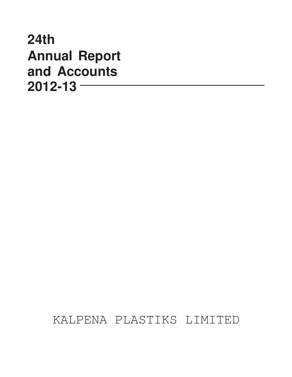# **24th Annual Report and Accounts 2012-13**

KALPENA PLASTIKS LIMITED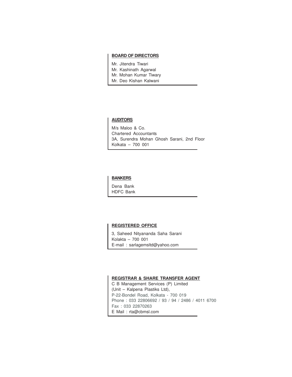#### **BOARD OF DIRECTORS**

Mr. Jitendra Tiwari Mr. Kashinath Agarwal Mr. Mohan Kumar Tiwary

Mr. Deo Kishan Kalwani

#### **AUDITORS**

M/s Maloo & Co. Chartered Accountants 3A, Surendra Mohan Ghosh Sarani, 2nd Floor Kolkata – 700 001

#### **BANKERS**

Dena Bank HDFC Bank

#### **REGISTERED OFFICE**

3, Saheed Nityananda Saha Sarani Kolakta – 700 001 E-mail : sarlagemsltd@yahoo.com

#### **REGISTRAR & SHARE TRANSFER AGENT**

C B Management Services (P) Limited (Unit – Kalpena Plastiks Ltd), P-22-Bondel Road, Kolkata - 700 019 Phone : 033 22806692 / 93 / 94 / 2486 / 4011 6700 Fax : 033 22870263 E Mail : rta@cbmsl.com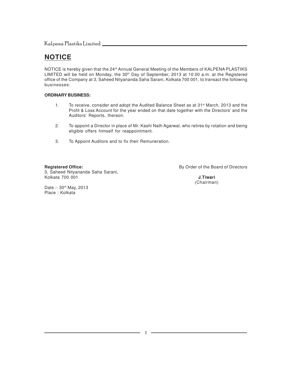### **NOTICE**

NOTICE is hereby given that the 24<sup>rd</sup> Annual General Meeting of the Members of KALPENA PLASTIKS LIMITED will be held on Monday, the 30<sup>th</sup> Day of September, 2013 at 10.00 a.m. at the Registered office of the Company at 3, Saheed Nityananda Saha Sarani, Kolkata 700 001, to transact the following businesses:

#### **ORDINARY BUSINESS:**

- 1. To receive, consider and adopt the Audited Balance Sheet as at 31<sup>st</sup> March, 2013 and the Profit & Loss Account for the year ended on that date together with the Directors' and the Auditors' Reports, thereon.
- 2. To appoint a Director in place of Mr. Kashi Nath Agarwal, who retires by rotation and being eligible offers himself for reappointment.
- 3. To Appoint Auditors and to fix their Remuneration.

3, Saheed Nityananda Saha Sarani, Kolkata 700 001 **J.Tiwari**

**Registered Office:** and the Board of Directors of the Board of Directors of the Board of Directors

(Chairman)

Date :- 30<sup>th</sup> May, 2013 Place : Kolkata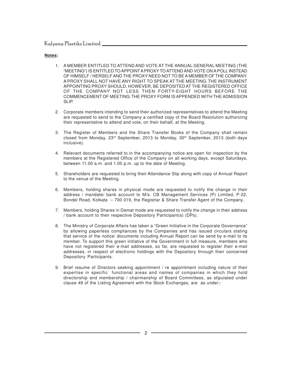#### **Notes:**

- 1. A MEMBER ENTITLED TO ATTEND AND VOTE AT THE ANNUAL GENERAL MEETING (THE "MEETING") IS ENTITLED TO APPOINT A PROXY TO ATTEND AND VOTE ON A POLL INSTEAD OF HIMSELF / HERSELF AND THE PROXY NEED NOT TO BE A MEMBER OF THE COMPANY. A PROXY SHALL NOT HAVE ANY RIGHT TO SPEAK AT THE MEETING. THE INSTRUMENT APPOINTING PROXY SHOULD, HOWEVER, BE DEPOSITED AT THE REGISTERED OFFICE OF THE COMPANY NOT LESS THEN FORTY-EIGHT HOURS BEFORE THE COMMENCEMENT OF MEETING. THE PROXY FORM IS APPENDED WITH THE ADMISSION SLIP.
- 2. Corporate members intending to send their authorized representatives to attend the Meeting are requested to send to the Company a certified copy of the Board Resolution authorizing their representative to attend and vote, on their behalf, at the Meeting.
- 3. The Register of Members and the Share Transfer Books of the Company shall remain closed from Monday,  $23<sup>rd</sup>$  September, 2013 to Monday,  $30<sup>th</sup>$  September, 2013 (both days inclusive).
- 4. Relevant documents referred to in the accompanying notice are open for inspection by the members at the Registered Office of the Company on all working days, except Saturdays, between 11.00 a.m. and 1.00 p.m. up to the date of Meeting.
- 5. Shareholders are requested to bring their Attendance Slip along with copy of Annual Report to the venue of the Meeting.
- 6. Members, holding shares in physical mode are requested to notify the change in their address / mandate/ bank account to M/s. CB Management Services (P) Limited, P-22, Bondel Road, Kolkata – 700 019, the Registrar & Share Transfer Agent of the Company.
- 7. Members, holding Shares in Demat mode are requested to notify the change in their address / bank account to their respective Depository Participant(s) (DPs).
- 8. The Ministry of Corporate Affairs has taken a "Green Initiative in the Corporate Governance" by allowing paperless compliances by the Companies and has issued circulars stating that service of the notice/ documents including Annual Report can be send by e-mail to its member. To support this green initiative of the Government in full measure, members who have not registered their e-mail addresses, so far, are requested to register their e-mail addresses, in respect of electronic holdings with the Depository through their concerned Depository Participants.
- 9. Brief resume of Directors seeking appointment / re appointment including nature of their expertise in specific functional areas and names of companies in which they hold directorship and membership / chairmanship of Board Committees, as stipulated under clause 49 of the Listing Agreement with the Stock Exchanges, are as under;-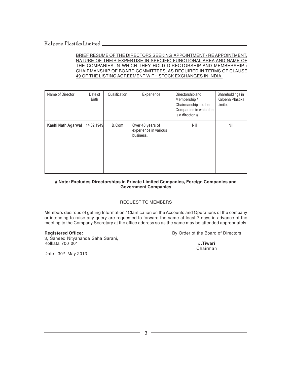BRIEF RESUME OF THE DIRECTORS SEEKING APPOINTMENT / RE APPOINTMENT, NATURE OF THEIR EXPERTISE IN SPECIFIC FUNCTIONAL AREA AND NAME OF THE COMPANIES IN WHICH THEY HOLD DIRECTORSHIP AND MEMBERSHIP / CHAIRMANSHIP OF BOARD COMMITTEES, AS REQUIRED IN TERMS OF CLAUSE 49 OF THE LISTING AGREEMENT WITH STOCK EXCHANGES IN INDIA.

| Name of Director   | Date of<br><b>Birth</b> | Qualification | Experience                                             | Directorship and<br>Membership /<br>Chairmanship in other<br>Companies in which he<br>is a director. # | Shareholdings in<br>Kalpena Plastiks<br>Limited |
|--------------------|-------------------------|---------------|--------------------------------------------------------|--------------------------------------------------------------------------------------------------------|-------------------------------------------------|
| Kashi Nath Agarwal | 14.02.1949              | B.Com         | Over 40 years of<br>experience in various<br>business. | Nil                                                                                                    | Nil                                             |

#### **# Note: Excludes Directorships in Private Limited Companies, Foreign Companies and Government Companies**

#### REQUEST TO MEMBERS

Members desirous of getting Information / Clarification on the Accounts and Operations of the company or intending to raise any query are requested to forward the same at least 7 days in advance of the meeting to the Company Secretary at the office address so as the same may be attended appropriately.

3, Saheed Nityananda Saha Sarani, Kolkata 700 001 **J.Tiwari**

**Registered Office: By Order of the Board of Directors** 

Chairman

Date: 30<sup>th</sup> May 2013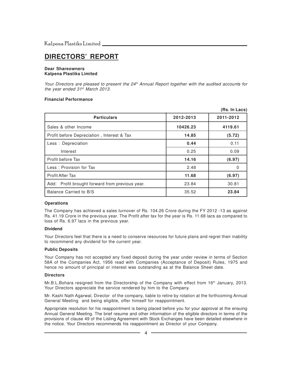### **DIRECTORS' REPORT**

#### **Dear Shareowners Kalpena Plastiks Limited**

Your Directors are pleased to present the 24<sup>th</sup> Annual Report together with the audited accounts for the year ended 31<sup>st</sup> March 2013.

#### **Financial Performance**

|                                                 |           | (Rs. In Lacs) |
|-------------------------------------------------|-----------|---------------|
| <b>Particulars</b>                              | 2012-2013 | 2011-2012     |
| Sales & other Income                            | 10426.23  | 4119.61       |
| Profit before Depreciation, Interest & Tax      | 14.85     | (5.72)        |
| Less : Depreciation                             | 0.44      | 0.11          |
| Interest                                        | 0.25      | 0.09          |
| Profit before Tax                               | 14.16     | (6.97)        |
| Less: Provision for Tax                         | 2.48      | 0             |
| <b>Profit After Tax</b>                         | 11.68     | (6.97)        |
| Add: Profit brought forward from previous year. | 23.84     | 30.81         |
| Balance Carried to B/S                          | 35.52     | 23.84         |

#### **Operations**

The Company has achieved a sales turnover of Rs. 104.26 Crore during the FY 2012 -13 as against Rs. 41.19 Crore in the previous year. The Profit after tax for the year is Rs. 11.68 lacs as compared to loss of Rs. 6.97 lacs in the previous year.

#### **Dividend**

Your Directors feel that there is a need to conserve resources for future plans and regret their inability to recommend any dividend for the current year.

#### **Public Deposits**

Your Company has not accepted any fixed deposit during the year under review in terms of Section 58A of the Companies Act, 1956 read with Companies (Acceptance of Deposit) Rules, 1975 and hence no amount of principal or interest was outstanding as at the Balance Sheet date.

#### **Directors**

Mr.B.L.Bohara resigned from the Directorship of the Company with effect from 16th January, 2013. Your Directors appreciate the service rendered by him to the Company.

Mr. Kashi Nath Agarwal, Director of the company, liable to retire by rotation at the forthcoming Annual General Meeting and being eligible, offer himself for reappointment.

Appropriate resolution for his reappointment is being placed before you for your approval at the ensuing Annual General Meeting. The brief resume and other information of the eligible directors in terms of the provisions of clause 49 of the Listing Agreement with Stock Exchanges have been detailed elsewhere in the notice. Your Directors recommends his reappointment as Director of your Company.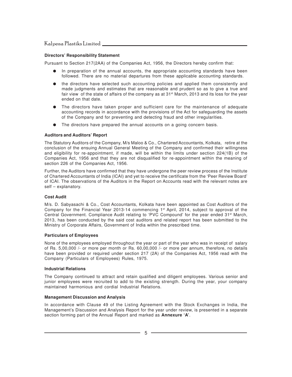#### **Directors' Responsibility Statement**

Pursuant to Section 217(2AA) of the Companies Act, 1956, the Directors hereby confirm that:

- In preparation of the annual accounts, the appropriate accounting standards have been followed. There are no material departures from these applicable accounting standards.
- the directors have selected such accounting policies and applied them consistently and made judgments and estimates that are reasonable and prudent so as to give a true and fair view of the state of affairs of the company as at  $31<sup>st</sup>$  March, 2013 and its loss for the year ended on that date.
- The directors have taken proper and sufficient care for the maintenance of adequate accounting records in accordance with the provisions of the Act for safeguarding the assets of the Company and for preventing and detecting fraud and other irregularities.
- The directors have prepared the annual accounts on a going concern basis.

#### **Auditors and Auditors' Report**

The Statutory Auditors of the Company, M/s Maloo & Co., Chartered Accountants, Kolkata, retire at the conclusion of the ensuing Annual General Meeting of the Company and confirmed their willingness and eligibility for re-appointment, if made, will be within the limits under section 224(1B) of the Companies Act, 1956 and that they are not disqualified for re-appointment within the meaning of section 226 of the Companies Act, 1956.

Further, the Auditors have confirmed that they have undergone the peer review process of the Institute of Chartered Accountants of India (ICAI) and yet to receive the certificate from the 'Peer Review Board' of ICAI. The observations of the Auditors in the Report on Accounts read with the relevant notes are self – explanatory.

#### **Cost Audit**

M/s. D. Sabyasachi & Co., Cost Accountants, Kolkata have been appointed as Cost Auditors of the Company for the Financial Year 2013-14 commencing  $1<sup>st</sup>$  April, 2014, subject to approval of the Central Government. Compliance Audit relating to 'PVC Compound' for the year ended 31st March, 2013, has been conducted by the said cost auditors and related report has been submitted to the Ministry of Corporate Affairs, Government of India within the prescribed time.

#### **Particulars of Employees**

None of the employees employed throughout the year or part of the year who was in receipt of salary of Rs. 5,00,000 /- or more per month or Rs. 60,00,000 /- or more per annum, therefore, no details have been provided or required under section 217 (2A) of the Companies Act, 1956 read with the Company (Particulars of Employees) Rules, 1975.

#### **Industrial Relations**

The Company continued to attract and retain qualified and diligent employees. Various senior and junior employees were recruited to add to the existing strength. During the year, your company maintained harmonious and cordial Industrial Relations.

#### **Management Discussion and Analysis**

In accordance with Clause 49 of the Listing Agreement with the Stock Exchanges in India, the Management's Discussion and Analysis Report for the year under review, is presented in a separate section forming part of the Annual Report and marked as **Annexure 'A'**.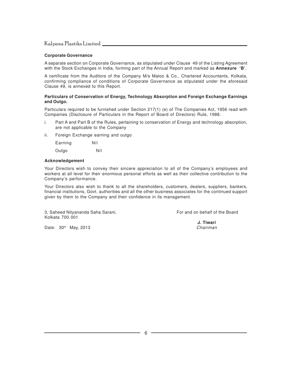#### **Corporate Governance**

A separate section on Corporate Governance, as stipulated under Clause 49 of the Listing Agreement with the Stock Exchanges in India, forming part of the Annual Report and marked as **Annexure 'B'**.

A certificate from the Auditors of the Company M/s Maloo & Co., Chartered Accountants, Kolkata, confirming compliance of conditions of Corporate Governance as stipulated under the aforesaid Clause 49, is annexed to this Report.

#### **Particulars of Conservation of Energy, Technology Absorption and Foreign Exchange Earnings and Outgo.**

Particulars required to be furnished under Section 217(1) (e) of The Companies Act, 1956 read with Companies (Disclosure of Particulars in the Report of Board of Directors) Rule, 1988.

- i. Part A and Part B of the Rules, pertaining to conservation of Energy and technology absorption, are not applicable to the Company
- ii. Foreign Exchange earning and outgo

Earning Nil

Outgo Nil

#### **Acknowledgement**

Your Directors wish to convey their sincere appreciation to all of the Company's employees and workers at all level for their enormous personal efforts as well as their collective contribution to the Company's performance.

Your Directors also wish to thank to all the shareholders, customers, dealers, suppliers, bankers, financial institutions, Govt. authorities and all the other business associates for the continued support given by them to the Company and their confidence in its management.

3, Saheed Nityananda Saha Sarani, For and on behalf of the Board Kolkata 700 001

Date:  $30<sup>th</sup>$  May, 2013

**J. Tiwari**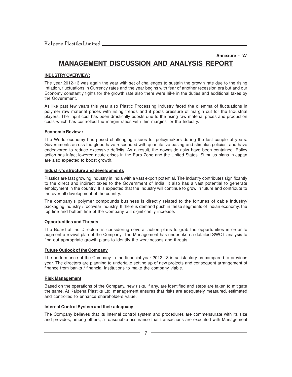#### **Annexure - 'A'**

### **MANAGEMENT DISCUSSION AND ANALYSIS REPORT**

#### **INDUSTRY OVERVIEW:**

The year 2012-13 was again the year with set of challenges to sustain the growth rate due to the rising Inflation, fluctuations in Currency rates and the year begins with fear of another recession era but and our Economy constantly fights for the growth rate also there were hike in the duties and additional taxes by the Government.

As like past few years this year also Plastic Processing Industry faced the dilemma of fluctuations in polymer raw material prices with rising trends and it posts pressure of margin cut for the Industrial players. The Input cost has been drastically boosts due to the rising raw material prices and production costs which has controlled the margin ratios with thin margins for the Industry.

#### **Economic Review :**

The World economy has posed challenging issues for policymakers during the last couple of years. Governments across the globe have responded with quantitative easing and stimulus policies, and have endeavored to reduce excessive deficits. As a result, the downside risks have been contained. Policy action has infact lowered acute crises in the Euro Zone and the United States. Stimulus plans in Japan are also expected to boost growth.

#### **Industry's structure and developments**

Plastics are fast growing Industry in India with a vast export potential. The Industry contributes significantly to the direct and indirect taxes to the Government of India. It also has a vast potential to generate employment in the country. It is expected that the Industry will continue to grow in future and contribute to the over all development of the country.

The company's polymer compounds business is directly related to the fortunes of cable industry/ packaging industry / footwear industry. If there is demand push in these segments of Indian economy, the top line and bottom line of the Company will significantly increase.

#### **Opportunities and Threats**

The Board of the Directors is considering several action plans to grab the opportunities in order to augment a revival plan of the Company. The Management has undertaken a detailed SWOT analysis to find out appropriate growth plans to identify the weaknesses and threats.

#### **Future Outlook of the Company**

The performance of the Company in the financial year 2012-13 is satisfactory as compared to previous year. The directors are planning to undertake setting up of new projects and consequent arrangement of finance from banks / financial institutions to make the company viable.

#### **Risk Management**

Based on the operations of the Company, new risks, if any, are identified and steps are taken to mitigate the same. At Kalpena Plastiks Ltd, management ensures that risks are adequately measured, estimated and controlled to enhance shareholders value.

#### **Internal Control System and their adequacy**

The Company believes that its internal control system and procedures are commensurate with its size and provides, among others, a reasonable assurance that transactions are executed with Management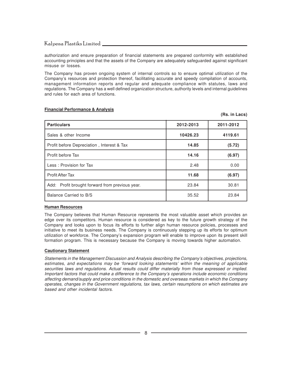authorization and ensure preparation of financial statements are prepared conformity with established accounting principles and that the assets of the Company are adequately safeguarded against significant misuse or losses.

The Company has proven ongoing system of internal controls so to ensure optimal utilization of the Company's resources and protection thereof, facilitating accurate and speedy compilation of accounts, management information reports and regular and adequate compliance with statutes, laws and regulations. The Company has a well defined organization structure, authority levels and internal guidelines and rules for each area of functions.

**(Rs. in Lacs)**

| <b>Particulars</b>                              | 2012-2013 | 2011-2012 |
|-------------------------------------------------|-----------|-----------|
| Sales & other Income                            | 10426.23  | 4119.61   |
| Profit before Depreciation, Interest & Tax      | 14.85     | (5.72)    |
| Profit before Tax                               | 14.16     | (6.97)    |
| Less: Provision for Tax                         | 2.48      | 0.00      |
| <b>Profit After Tax</b>                         | 11.68     | (6.97)    |
| Add: Profit brought forward from previous year. | 23.84     | 30.81     |
| Balance Carried to B/S                          | 35.52     | 23.84     |

#### **Financial Performance & Analysis**

#### **Human Resources**

The Company believes that Human Resource represents the most valuable asset which provides an edge over its competitors. Human resource is considered as key to the future growth strategy of the Company and looks upon to focus its efforts to further align human resource policies, processes and initiative to meet its business needs. The Company is continuously stepping up its efforts for optimum utilization of workforce. The Company's expansion program will enable to improve upon its present skill formation program. This is necessary because the Company is moving towards higher automation.

#### **Cautionary Statement**

Statements in the Management Discussion and Analysis describing the Company's objectives, projections, estimates, and expectations may be 'forward looking statements' within the meaning of applicable securities laws and regulations. Actual results could differ materially from those expressed or implied. Important factors that could make a difference to the Company's operations include economic conditions affecting demand/supply and price conditions in the domestic and overseas markets in which the Company operates, changes in the Government regulations, tax laws, certain resumptions on which estimates are based and other incidental factors.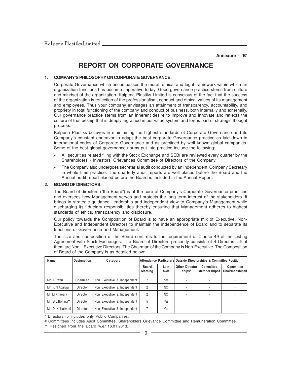**Annexure - 'B'**

### **REPORT ON CORPORATE GOVERNANCE**

#### **1. COMPANY'S PHILOSOPHY ON CORPORATE GOVERNANCE:**

Corporate Governance which encompasses the moral, ethical and legal framework within which an organization functions has become imperative today. Good governance practice stems from culture and mindset of the organization. Kalpena Plastiks Limited is conscious of the fact that the success of the organization is reflection of the professionalism, conduct and ethical values of its management and employees. Thus your company envisages an attainment of transparency, accountability, and propriety in total functioning of the company and conduct of business, both internally and externally. Our governance practice stems from an inherent desire to improve and innovate and reflects the culture of trusteeship that is deeply ingrained in our value system and forms part of strategic thought process.

Kalpena Plastiks believes in maintaining the highest standards of Corporate Governance and its Company's constant endeavor to adapt the best corporate Governance practice as laid down in international codes of Corporate Governance and as practiced by well known global companies. Some of the best global governance norms put into practice include the following:

- $\triangleright$  All securities related filing with the Stock Exchange and SEBI are reviewed every quarter by the Shareholders' / Investors' Grievances Committee of Directors of the Company.
- The Company also undergoes secretarial audit conducted by an Independent Company Secretary in whole time practice. The quarterly audit reports are well placed before the Board and the Annual audit report placed before the Board is included in the Annual Report.

#### **2. BOARD OF DIRECTORS:**

The Board of directors ("the Board") is at the core of Company's Corporate Governance practices and oversees how Management serves and protects the long term interest of the stakeholders. It brings in strategic guidance, leadership and independent view to Company's Management while discharging its fiduciary responsibilities thereby ensuring that Management adheres to highest standards of ethics, transparency and disclosure.

Our policy towards the Composition of Board is to have an appropriate mix of Executive, Non-Executive and Independent Directors to maintain the independence of Board and to separate its functions of Governance and Management.

The size and composition of the Board confirms to the requirement of Clause 49 of the Listing Agreement with Stock Exchanges. The Board of Directors presently consists of 4 Directors all of them are Non – Executive Directors. The Chairman of the Company is Non-Executive. The Composition of Board of the Company is as detailed below:

| Name              | Designation | Category                    |                         |                    | Attendance Particulars Outside Directorships & Committee Position |                           |                                    |  |
|-------------------|-------------|-----------------------------|-------------------------|--------------------|-------------------------------------------------------------------|---------------------------|------------------------------------|--|
|                   |             |                             | <b>Board</b><br>Meeting | Last<br><b>AGM</b> | <b>Other Directorl</b><br>ships*                                  | Committee<br>Memberships# | <b>Committee</b><br>Chairmanships# |  |
| Mr. J.Tiwari      | Chairman    | Non Executive & Independent |                         | Yes                |                                                                   |                           |                                    |  |
| Mr. K.N.Agarwal   | Director    | Non Executive & Independent | 2                       | N <sub>O</sub>     |                                                                   |                           |                                    |  |
| Mr. M.K.Tiwary    | Director    | Non Executive & Independent | 2                       | N <sub>O</sub>     |                                                                   |                           |                                    |  |
| Mr. B.L.Bohara**  | Director    | Non Executive & Independent | 5                       | Yes                |                                                                   |                           |                                    |  |
| Mr. D. K. Kalwani | Director    | Non Executive & Independent |                         | Yes                |                                                                   |                           |                                    |  |

\* Directorship includes only Public Companies.

# Committees includes Audit Committee, Shareholders Grievance Committee and Remuneration Committee.

\*\* Resigned from the Board w.e.f.16.01.2013.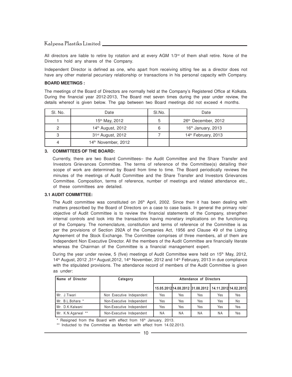All directors are liable to retire by rotation and at every AGM  $1/3<sup>rd</sup>$  of them shall retire. None of the Directors hold any shares of the Company.

Independent Director is defined as one, who apart from receiving sitting fee as a director does not have any other material pecuniary relationship or transactions in his personal capacity with Company.

#### **BOARD MEETINGS :**

The meetings of the Board of Directors are normally held at the Company's Registered Office at Kolkata. During the financial year 2012-2013, The Board met seven times during the year under review, the details whereof is given below. The gap between two Board meetings did not exceed 4 months.

| SI. No. | Date                          | SI.No. | Date                            |
|---------|-------------------------------|--------|---------------------------------|
|         | 15 <sup>th</sup> May, 2012    | b      | 26th December, 2012             |
| 2       | 14 <sup>th</sup> August, 2012 | 6      | $16th$ January, 2013            |
| ≏       | 31 <sup>st</sup> August, 2012 |        | 14 <sup>th</sup> February, 2013 |
|         | 14th November, 2012           |        |                                 |

#### **3. COMMITTEES OF THE BOARD:**

Currently, there are two Board Committees– the Audit Committee and the Share Transfer and Investors Grievances Committee. The terms of reference of the Committee(s) detailing their scope of work are determined by Board from time to time. The Board periodically reviews the minutes of the meetings of Audit Committee and the Share Transfer and Investors Grievances Committee. Composition, terms of reference, number of meetings and related attendance etc., of these committees are detailed.

#### **3.1 AUDIT COMMITTEE:**

The Audit committee was constituted on  $26<sup>th</sup>$  April, 2002. Since then it has been dealing with matters prescribed by the Board of Directors on a case to case basis. In general the primary role/ objective of Audit Committee is to review the financial statements of the Company, strengthen internal controls and look into the transactions having monetary implications on the functioning of the Company. The nomenclature, constitution and terms of reference of the Committee is as per the provisions of Section 292A of the Companies Act, 1956 and Clause 49 of the Listing Agreement of the Stock Exchange. The Committee comprises of three members, all of them are Independent Non Executive Director. All the members of the Audit Committee are financially literate whereas the Chairman of the Committee is a financial management expert.

During the year under review, 5 (five) meetings of Audit Committee were held on 15<sup>th</sup> May, 2012,  $14<sup>th</sup>$  August, 2012, 31<sup>st</sup> August, 2012, 14<sup>th</sup> November, 2012 and 14<sup>th</sup> February, 2013 in due compliance with the stipulated provisions. The attendance record of members of the Audit Committee is given as under:

| Name of Director   | Category                  | Attendance of Directors |           |                                                        |           |     |
|--------------------|---------------------------|-------------------------|-----------|--------------------------------------------------------|-----------|-----|
|                    |                           |                         |           | 15.05.2012 14.08.2012 31.08.2012 14.11.2012 14.02.2013 |           |     |
| Mr. J.Tiwari       | Non Executive Independent | Yes                     | Yes       | Yes                                                    | Yes       | Yes |
| Mr. B.L.Bohara *   | Non-Executive Independent | Yes                     | Yes       | Yes                                                    | Yes       | No  |
| Mr. D.K.Kalwani    | Non-Executive Independent | Yes                     | Yes       | Yes                                                    | Yes       | Yes |
| Mr. K.N.Agarwal ** | Non-Executive Independent | <b>NA</b>               | <b>NA</b> | <b>NA</b>                                              | <b>NA</b> | Yes |

 $*$  Resigned from the Board with effect from 16<sup>th</sup> January, 2013.

\*\* Inducted to the Committee as Member with effect from 14.02.2013.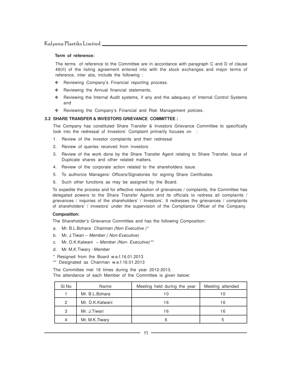#### **Term of reference:**

The terms of reference to the Committee are in accordance with paragraph C and D of clause 49(II) of the listing agreement entered into with the stock exchanges and major terms of reference, inter alia, include the following :

- ❖ Reviewing Company's Financial reporting process.
- ❖ Reviewing the Annual financial statements,
- ❖ Reviewing the Internal Audit systems, if any and the adequacy of Internal Control Systems and
- ❖ Reviewing the Company's Financial and Risk Management policies.

#### **3.2 SHARE TRANSFER & INVESTORS GRIEVANCE COMMITTEE :**

The Company has constituted Share Transfer & Investors Grievance Committee to specifically look into the redressal of Investors' Complaint primarily focuses on :

- 1. Review of the investor complaints and their redressal
- 2. Review of queries received from investors
- 3. Review of the work done by the Share Transfer Agent relating to Share Transfer, Issue of Duplicate shares and other related matters.
- 4. Review of the corporate action related to the shareholders issue.
- 5. To authorize Managers/ Officers/Signatories for signing Share Certificates.
- 6. Such other functions as may be assigned by the Board.

To expedite the process and for effective resolution of grievances / complaints, the Committee has delegated powers to the Share Transfer Agents and its officials to redress all complaints / grievances / inquiries of the shareholders' / Investors'. It redresses the grievances / complaints of shareholders' / investors' under the supervision of the Compliance Officer of the Company.

#### **Composition:**

The Shareholder's Grievance Committee and has the following Composition:

- a. Mr. B.L.Bohara Chairman (Non Executive )\*
- b. Mr. J.Tiwari Member ( Non-Executive)
- c. Mr. D.K.Kalwani Member (Non- Executive)\*\*
- d. Mr. M.K.Tiwary Member
- \* Resigned from the Board w.e.f.16.01.2013
- \*\* Designated as Chairman w.e.f.16.01.2013

The Committee met 16 times during the year 2012-2013. The attendance of each Member of the Committee is given below:

| SI.No          | Name            | Meeting held during the year | Meeting attended |
|----------------|-----------------|------------------------------|------------------|
|                | Mr. B.L.Bohara  |                              | 10               |
| $\mathfrak{p}$ | Mr. D.K.Kalwani | 16                           | 16               |
| 3              | Mr. J.Tiwari    | 16                           | 16               |
| 4              | Mr. M.K.Tiwary  |                              |                  |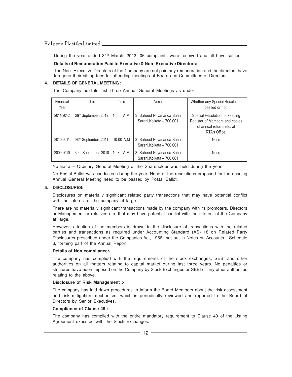During the year ended 31<sup>st</sup> March, 2013, 06 complaints were received and all have settled.

#### **Details of Remuneration Paid to Executive & Non- Executive Directors:**

The Non- Executive Directors of the Company are not paid any remuneration and the directors have foregone their sitting fees for attending meetings of Board and Committees of Directors.

#### **4. DETAILS OF GENERAL MEETING :**

The Company held its last Three Annual General Meetings as under :

| Financial<br>Year | Date                             | Time       | Venu                                                   | Whether any Special Resolution<br>passed or not.                                                               |
|-------------------|----------------------------------|------------|--------------------------------------------------------|----------------------------------------------------------------------------------------------------------------|
| 2011-2012         | 29 <sup>th</sup> September, 2012 | 10.00 A.M. | 3, Saheed Nityananda Saha<br>Sarani, Kolkata - 700 001 | Special Resolution for keeping<br>Register of Members and copies<br>of annual returns etc. at<br>RTA's Office. |
| 2010-2011         | 30 <sup>th</sup> September, 2011 | 10.00 A.M  | 3, Saheed Nityananda Saha<br>Sarani, Kolkata - 700 001 | None                                                                                                           |
| 2009-2010         | 30th September, 2010             | 10.30 A.M. | 3, Saheed Nityananda Saha<br>Sarani, Kolkata - 700 001 | None                                                                                                           |

No Extra – Ordinary General Meeting of the Shareholder was held during the year.

No Postal Ballot was conducted during the year. None of the resolutions proposed for the ensuing Annual General Meeting need to be passed by Postal Ballot.

#### **5. DISCLOSURES:**

Disclosures on materially significant related party transactions that may have potential conflict with the interest of the company at large :-

There are no materially significant transactions made by the company with its promoters, Directors or Management or relatives etc. that may have potential conflict with the interest of the Company at large.

However, attention of the members is drawn to the disclosure of transactions with the related parties and transactions as required under Accounting Standard (AS) 18 on Related Party Disclosures prescribed under the Companies Act, 1956 set out in Notes on Accounts - Schedule 6, forming part of the Annual Report.

#### **Details of Non compliance:-**

The company has complied with the requirements of the stock exchanges, SEBI and other authorities on all matters relating to capital market during last three years. No penalties or strictures have been imposed on the Company by Stock Exchanges or SEBI or any other authorities relating to the above.

#### **Disclosure of Risk Management :-**

The company has laid down procedures to inform the Board Members about the risk assessment and risk mitigation mechanism, which is periodically reviewed and reported to the Board of Directors by Senior Executives.

#### **Compliance of Clause 49 :-**

The company has complied with the entire mandatory requirement to Clause 49 of the Listing Agreement executed with the Stock Exchanges.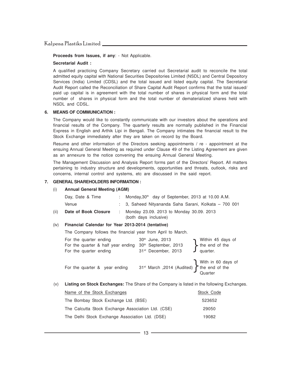**Proceeds from Issues, if any**: - Not Applicable.

#### **Secretarial Audit :**

A qualified practicing Company Secretary carried out Secretarial audit to reconcile the total admitted equity capital with National Securities Depositories Limited (NSDL) and Central Depository Services (India) Limited (CDSL) and the total issued and listed equity capital. The Secretarial Audit Report called the Reconciliation of Share Capital Audit Report confirms that the total issued/ paid up capital is in agreement with the total number of shares in physical form and the total number of shares in physical form and the total number of dematerialized shares held with NSDL and CDSL.

#### **6. MEANS OF COMMUNICATION :**

The Company would like to constantly communicate with our investors about the operations and financial results of the Company. The quarterly results are normally published in the Financial Express in English and Arthik Lipi in Bengali. The Company intimates the financial result to the Stock Exchange immediately after they are taken on record by the Board.

Resume and other information of the Directors seeking appointments / re - appointment at the ensuing Annual General Meeting as required under Clause 49 of the Listing Agreement are given as an annexure to the notice convening the ensuing Annual General Meeting.

The Management Discussion and Analysis Report forms part of the Directors' Report. All matters pertaining to industry structure and developments, opportunities and threats, outlook, risks and concerns, internal control and systems, etc are discussed in the said report.

#### **7. GENERAL SHAREHOLDERS INFORMATION :**

#### (i) **Annual General Meeting (AGM)**

|      | Day, Date & Time     | : Monday, $30th$ day of September, 2013 at 10.00 A.M.               |
|------|----------------------|---------------------------------------------------------------------|
|      | Venue                | : 3, Saheed Nityananda Saha Sarani, Kolkata – 700 001               |
| (ii) | Date of Book Closure | : Monday 23.09. 2013 to Monday 30.09. 2013<br>(both days inclusive) |

#### (iv) **Financial Calendar for Year 2013-2014 (tentative)**

The Company follows the financial year from April to March.

| For the quarter ending<br>For the quarter & half year ending<br>For the quarter ending | 30th June, 2013<br>30 <sup>th</sup> September, 2013<br>31 <sup>st</sup> December, 2013                                                                              | Within 45 days of<br>the end of the<br>quarter. |
|----------------------------------------------------------------------------------------|---------------------------------------------------------------------------------------------------------------------------------------------------------------------|-------------------------------------------------|
| For the quarter & year ending                                                          | 31 <sup>st</sup> March ,2014 (Audited) $\left\{\n \begin{array}{c}\n \text{With in 60 days of} \\ \text{the end of the} \\ \text{Quarter}\n \end{array}\n \right\}$ |                                                 |

(v) **Listing on Stock Exchanges:** The Share of the Company is listed in the following Exchanges.

| Name of the Stock Exchanges                        | Stock Code |
|----------------------------------------------------|------------|
| The Bombay Stock Exchange Ltd. (BSE)               | 523652     |
| The Calcutta Stock Exchange Association Ltd. (CSE) | 29050      |
| The Delhi Stock Exchange Association Ltd. (DSE)    | 19082      |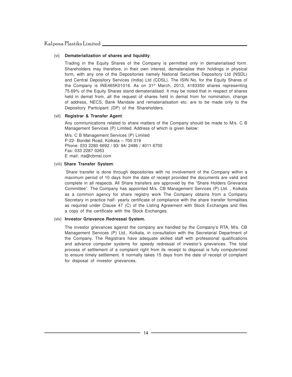#### (vi) **Dematerialization of shares and liquidity**:

Trading in the Equity Shares of the Company is permitted only in dematerialised form. Shareholders may therefore, in their own interest, dematerialise their holdings in physical form, with any one of the Depositories namely National Securities Depository Ltd (NSDL) and Central Depository Services (India) Ltd (CDSL). The ISIN No. for the Equity Shares of the Company is INE465K01016. As on 31<sup>st</sup> March, 2013, 4183350 shares representing 75.69% of the Equity Shares stand dematerialised. It may be noted that in respect of shares held in demat from, all the request of shares held in demat from for nomination, change of address, NECS, Bank Mandate and rematerialisation etc. are to be made only to the Depository Participant (DP) of the Shareholders.

#### (vii) **Registrar & Transfer Agent**:

Any communications related to share matters of the Company should be made to M/s. C B Management Services (P) Limited. Address of which is given below:

M/s. C B Management Services (P) Limited P-22- Bondel Road, Kolkata – 700 019 Phone: 033 2280 6692 / 93/ 94/ 2486 / 4011 6700 Fax: 033 2287 0263 E mail: rta@cbmsl.com

#### (viii) **Share Transfer System**:

 Share transfer is done through depositories with no involvement of the Company within a maximum period of 10 days from the date of receipt provided the documents are valid and complete in all respects. All Share transfers are approved by the "Share Holders Grievance Committee". The Company has appointed M/s. CB Management Services (P) Ltd. , Kolkata as a common agency for share registry work The Company obtains from a Company Secretary in practice half- yearly certificate of compliance with the share transfer formalities as required under Clause 47 (C) of the Listing Agreement with Stock Exchanges and files a copy of the certificate with the Stock Exchanges.

#### (viv) **Investor Grievance Redressal System.**

The investor grievances against the company are handled by the Company's RTA, M/s. CB Management Services (P) Ltd., Kolkata, in consultation with the Secretarial Department of the Company. The Registrars have adequate skilled staff with professional qualifications and advance computer systems for speedy redressal of investor's grievances. The total process of settlement of a complaint right from its receipt to disposal is fully computerized to ensure timely settlement. It normally takes 15 days from the date of receipt of complaint for disposal of investor grievances.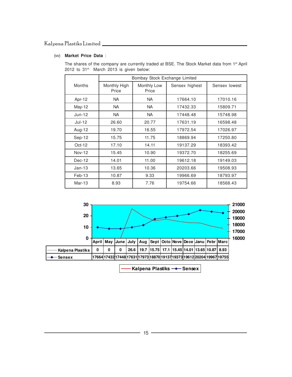#### (vv) **Market Price Data** :

The shares of the company are currently traded at BSE. The Stock Market data from 1<sup>st</sup> April 2012 to 31<sup>st</sup> March 2013 is given below:

|               | Bombay Stock Exchange Limited |                      |                |               |  |
|---------------|-------------------------------|----------------------|----------------|---------------|--|
| Months        | Monthly High<br>Price         | Monthly Low<br>Price | Sensex highest | Sensex lowest |  |
| Apr-12        | <b>NA</b>                     | <b>NA</b>            | 17664.10       | 17010.16      |  |
| May-12        | <b>NA</b>                     | <b>NA</b>            | 17432.33       | 15809.71      |  |
| $Jun-12$      | <b>NA</b>                     | NA.                  | 17448.48       | 15748.98      |  |
| Jul-12        | 26.60                         | 20.77                | 17631.19       | 16598.48      |  |
| Aug-12        | 19.70                         | 16.55                | 17972.54       | 17026.97      |  |
| Sep-12        | 15.75                         | 11.75                | 18869.94       | 17250.80      |  |
| $Oct-12$      | 17.10                         | 14.11                | 19137.29       | 18393.42      |  |
| <b>Nov-12</b> | 15.45                         | 10.90                | 19372.70       | 18255.69      |  |
| Dec-12        | 14.01                         | 11.00                | 19612.18       | 19149.03      |  |
| $Jan-13$      | 13.65                         | 10.36                | 20203.66       | 19508.93      |  |
| $Feb-13$      | 10.87                         | 9.33                 | 19966.69       | 18793.97      |  |
| $Mar-13$      | 8.93                          | 7.76                 | 19754.66       | 18568.43      |  |



-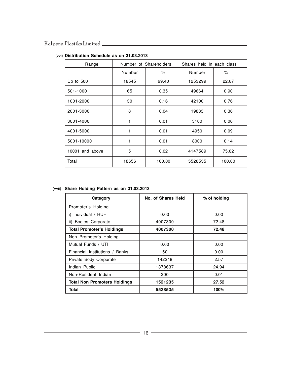| Range           | Number of Shareholders |        | Shares held in each class |        |
|-----------------|------------------------|--------|---------------------------|--------|
|                 | Number                 | $\%$   | Number                    | %      |
| Up to $500$     | 18545                  | 99.40  | 1253299                   | 22.67  |
| 501-1000        | 65                     | 0.35   | 49664                     | 0.90   |
| 1001-2000       | 30                     | 0.16   | 42100                     | 0.76   |
| 2001-3000       | 8                      | 0.04   | 19833                     | 0.36   |
| 3001-4000       | 1                      | 0.01   | 3100                      | 0.06   |
| 4001-5000       | 1                      | 0.01   | 4950                      | 0.09   |
| 5001-10000      | 1                      | 0.01   | 8000                      | 0.14   |
| 10001 and above | 5                      | 0.02   | 4147589                   | 75.02  |
| Total           | 18656                  | 100.00 | 5528535                   | 100.00 |

#### (vvi) **Distribution Schedule as on 31.03.2013**

#### (vvii) **Share Holding Pattern as on 31.03.2013**

| Category                            | No. of Shares Held | % of holding |
|-------------------------------------|--------------------|--------------|
| Promoter's Holding                  |                    |              |
| Individual / HUF<br>i)              | 0.00               | 0.00         |
| ii) Bodies Corporate                | 4007300            | 72.48        |
| <b>Total Promoter's Holdings</b>    | 4007300            | 72.48        |
| Non Promoter's Holding              |                    |              |
| Mutual Funds / UTI                  | 0.00               | 0.00         |
| Financial Institutions / Banks      | 50                 | 0.00         |
| Private Body Corporate              | 142248             | 2.57         |
| Indian Public                       | 1378637            | 24.94        |
| Non-Resident Indian                 | 300                | 0.01         |
| <b>Total Non Promoters Holdings</b> | 1521235            | 27.52        |
| Total                               | 5528535            | 100%         |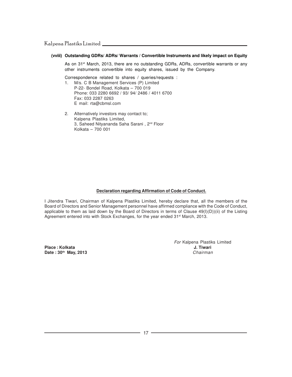#### **(vviii) Outstanding GDRs/ ADRs/ Warrants / Convertible Instruments and likely impact on Equity**

As on 31<sup>st</sup> March, 2013, there are no outstanding GDRs, ADRs, convertible warrants or any other instruments convertible into equity shares, issued by the Company.

Correspondence related to shares / queries/requests :

- 1. M/s. C B Management Services (P) Limited P-22- Bondel Road, Kolkata – 700 019 Phone: 033 2280 6692 / 93/ 94/ 2486 / 4011 6700 Fax: 033 2287 0263 E mail: rta@cbmsl.com
- 2. Alternatively investors may contact to; Kalpena Plastiks Limited, 3, Saheed Nityananda Saha Sarani, 2<sup>nd</sup> Floor Kolkata – 700 001

#### **Declaration regarding Affirmation of Code of Conduct.**

I Jitendra Tiwari, Chairman of Kalpena Plastiks Limited, hereby declare that, all the members of the Board of Directors and Senior Management personnel have affirmed compliance with the Code of Conduct, applicable to them as laid down by the Board of Directors in terms of Clause 49(I)(D))(ii) of the Listing Agreement entered into with Stock Exchanges, for the year ended 31<sup>st</sup> March, 2013.

**Place : Kolkata J. Tiwari Date : 30<sup>th</sup> May, 2013** Chairman Chairman Chairman

For Kalpena Plastiks Limited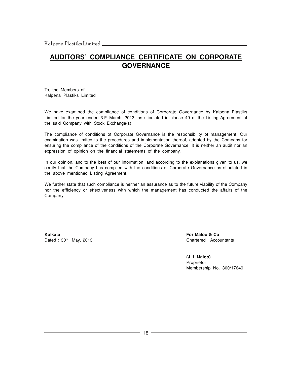### **AUDITORS' COMPLIANCE CERTIFICATE ON CORPORATE GOVERNANCE**

To, the Members of Kalpena Plastiks Limited

We have examined the compliance of conditions of Corporate Governance by Kalpena Plastiks Limited for the year ended 31<sup>st</sup> March, 2013, as stipulated in clause 49 of the Listing Agreement of the said Company with Stock Exchange(s).

The compliance of conditions of Corporate Governance is the responsibility of management. Our examination was limited to the procedures and implementation thereof, adopted by the Company for ensuring the compliance of the conditions of the Corporate Governance. It is neither an audit nor an expression of opinion on the financial statements of the company.

In our opinion, and to the best of our information, and according to the explanations given to us, we certify that the Company has complied with the conditions of Corporate Governance as stipulated in the above mentioned Listing Agreement.

We further state that such compliance is neither an assurance as to the future viability of the Company nor the efficiency or effectiveness with which the management has conducted the affairs of the Company.

**Kolkata For Maloo & Co** Dated : 30<sup>th</sup> May, 2013 Chartered Accountants

**(J. L.Maloo)** Proprietor Membership No. 300/17649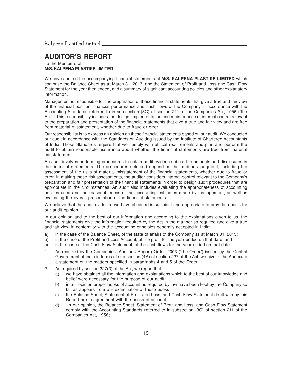### **AUDITOR'S REPORT**

To the Members of **M/S. KALPENA PLASTIKS LIMITED**

We have audited the accompanying financial statements of **M/S. KALPENA PLASTIKS LIMITED** which comprise the Balance Sheet as at March 31, 2013, and the Statement of Profit and Loss and Cash Flow Statement for the year then ended, and a summary of significant accounting policies and other explanatory information.

Management is responsible for the preparation of these financial statements that give a true and fair view of the financial position, financial performance and cash flows of the Company in accordance with the Accounting Standards referred to in sub-section (3C) of section 211 of the Companies Act, 1956 ("the Act"). This responsibility includes the design, implementation and maintenance of internal control relevant to the preparation and presentation of the financial statements that give a true and fair view and are free from material misstatement, whether due to fraud or error.

Our responsibility is to express an opinion on these financial statements based on our audit. We conducted our audit in accordance with the Standards on Auditing issued by the Institute of Chartered Accountants of India. Those Standards require that we comply with ethical requirements and plan and perform the audit to obtain reasonable assurance about whether the financial statements are free from material misstatement.

An audit involves performing procedures to obtain audit evidence about the amounts and disclosures in the financial statements. The procedures selected depend on the auditor's judgment, including the assessment of the risks of material misstatement of the financial statements, whether due to fraud or error. In making those risk assessments, the auditor considers internal control relevant to the Company's preparation and fair presentation of the financial statements in order to design audit procedures that are appropriate in the circumstances. An audit also includes evaluating the appropriateness of accounting policies used and the reasonableness of the accounting estimates made by management, as well as evaluating the overall presentation of the financial statements.

We believe that the audit evidence we have obtained is sufficient and appropriate to provide a basis for our audit opinion.

In our opinion and to the best of our information and according to the explanations given to us, the financial statements give the information required by the Act in the manner so required and give a true and fair view in conformity with the accounting principles generally accepted in India:

- a) in the case of the Balance Sheet, of the state of affairs of the Company as at March 31, 2013;
- b) in the case of the Profit and Loss Account, of the profit for the year ended on that date; and
- c) in the case of the Cash Flow Statement, of the cash flows for the year ended on that date.
- 1. As required by the Companies (Auditor's Report) Order, 2003 ("the Order") issued by the Central Government of India in terms of sub-section (4A) of section 227 of the Act, we give in the Annexure a statement on the matters specified in paragraphs 4 and 5 of the Order.
- 2. As required by section 227(3) of the Act, we report that:
	- a) we have obtained all the information and explanations which to the best of our knowledge and belief were necessary for the purpose of our audit;
	- b) in our opinion proper books of account as required by law have been kept by the Company so far as appears from our examination of those books
	- c) the Balance Sheet, Statement of Profit and Loss, and Cash Flow Statement dealt with by this Report are in agreement with the books of account.
	- d) in our opinion, the Balance Sheet, Statement of Profit and Loss, and Cash Flow Statement comply with the Accounting Standards referred to in subsection (3C) of section 211 of the Companies Act, 1956;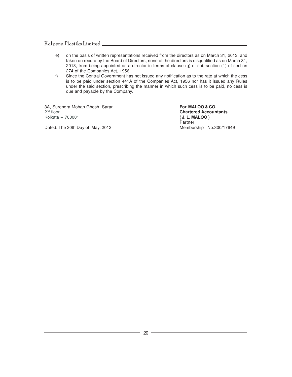- e) on the basis of written representations received from the directors as on March 31, 2013, and taken on record by the Board of Directors, none of the directors is disqualified as on March 31, 2013, from being appointed as a director in terms of clause (g) of sub-section (1) of section 274 of the Companies Act, 1956.
- f) Since the Central Government has not issued any notification as to the rate at which the cess is to be paid under section 441A of the Companies Act, 1956 nor has it issued any Rules under the said section, prescribing the manner in which such cess is to be paid, no cess is due and payable by the Company.

3A, Surendra Mohan Ghosh Sarani **For MALOO & CO.** 2<sup>nd</sup> floor Kolkata – 700001 **( J. L. MALOO )**

Dated: The 30th Day of May, 2013

**Chartered Accountants** Partner<br>Membership No.300/17649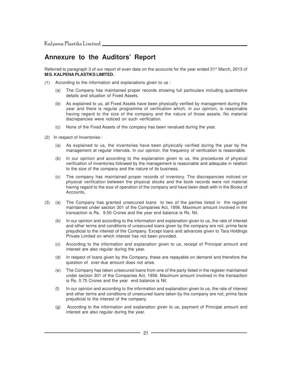### **Annexure to the Auditors' Report**

Referred to paragraph 3 of our report of even date on the accounts for the year ended 31<sup>st</sup> March, 2013 of **M/S. KALPENA PLASTIKS LIMITED.**

- (1) According to the information and explanations given to us :
	- (a) The Company has maintained proper records showing full particulars including quantitative details and situation of Fixed Assets.
	- (b) As explained to us, all Fixed Assets have been physically verified by management during the year and there is regular programme of verification which, in our opinion, is reasonable having regard to the size of the company and the nature of those assets. No material discrepancies were noticed on such verification.
	- (c) None of the Fixed Assets of the company has been revalued during the year.
- (2) In respect of Inventories :
	- (a) As explained to us, the inventories have been physically verified during the year by the management at regular intervals. In our opinion, the frequency of verification is reasonable.
	- (b) In our opinion and according to the explanation given to us, the procedures of physical verification of inventories followed by the management is reasonable and adequate in relation to the size of the company and the nature of its business.
	- (c) The company has maintained proper records of inventory. The discrepancies noticed on physical verification between the physical stocks and the book records were not material having regard to the size of operation of the company and have been dealt with in the Books of Accounts.
- (3) (a) The Company has granted unsecured loans to two of the parties listed in the register maintained under section 301 of the Companies Act, 1956. Maximum amount involved in the transaction is Rs. 9.50 Crores and the year end balance is Rs. Nil.
	- (b) In our opinion and according to the information and explanation given to us, the rate of interest and other terms and conditions of unsecured loans given by the company are not, prima facie prejudicial to the interest of the Company. Except loans and advances given to Tara Holdings Private Limited on which interest has not been provided.
	- (c) According to the information and explanation given to us, receipt of Principal amount and interest are also regular during the year.
	- (d) In respect of loans given by the Company, these are repayable on demand and therefore the question of over-due amount does not arise.
	- (e) The Company has taken unsecured loans from one of the party listed in the register maintained under section 301 of the Companies Act, 1956. Maximum amount involved in the transaction is Rs. 0.75 Crores and the year end balance is Nil.
	- (f) In our opinion and according to the information and explanation given to us, the rate of interest and other terms and conditions of unsecured loans taken by the company are not, prima facie prejudicial to the interest of the company.
	- (g) According to the information and explanation given to us, payment of Principal amount and interest are also regular during the year.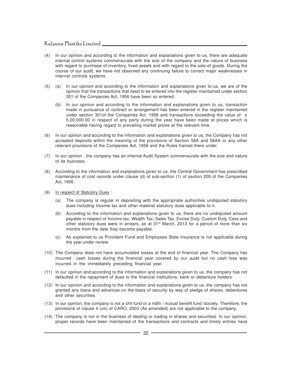- (4) In our opinion and according to the information and explanations given to us, there are adequate internal control systems commensurate with the size of the company and the nature of business with regard to purchase of inventory, fixed assets and with regard to the sale of goods. During the course of our audit, we have not observed any continuing failure to correct major weaknesses in internal controls systems.
- (5) (a) In our opinion and according to the information and explanations given to us, we are of the opinion that the transactions that need to be entered into the register maintained under section 301 of the Companies Act, 1956 have been so entered.
	- (b) In our opinion and according to the information and explanations given to us, transaction made in pursuance of contract or arrangement has been entered in the register maintained under section 301of the Companies Act, 1956 and transactions exceeding the value of  $\bar{z}$ 5,00,000.00 in respect of any party during the year have been made at prices which is reasonable having regard to prevailing market prices at the relevant time.
- (6) In our opinion and according to the information and explanations given to us, the Company has not accepted deposits within the meaning of the provisions of Section 58A and 58AA or any other relevant provisions of the Companies Act, 1956 and the Rules framed there under.
- (7) In our opinion , the company has an Internal Audit System commensurate with the size and nature of its business.
- (8) According to the information and explanations given to us, the Central Government has prescribed maintenance of cost records under clause (d) of sub-section (1) of section 209 of the Companies Act, 1956.
- (9) In respect of Statutory Dues :
	- (a) The company is regular in depositing with the appropriate authorities undisputed statutory dues including Income tax and other material statutory dues applicable to it.
	- (b) According to the information and explanations given to us, there are no undisputed amount payable in respect of Income-tax, Wealth Tax, Sales Tax, Excise Duty, Custom Duty, Cess and other statutory dues were in arrears, as at 31<sup>st</sup> March, 2013 for a period of more than six months from the date they become payable.
	- (c) As explained to us Provident Fund and Employees State Insurance is not applicable during the year under review.
- (10) The Company does not have accumulated losses at the end of financial year. The Company has incurred cash losses during the financial year covered by our audit but no cash loss was incurred in the immediately preceding financial year.
- (11) In our opinion and according to the information and explanations given to us, the company has not defaulted in the repayment of dues to the financial institutions, bank or debenture holders.
- (12) In our opinion and according to the information and explanations given to us, the company has not granted any loans and advances on the basis of security by way of pledge of shares, debentures and other securities.
- (13) In our opinion, the company is not a chit fund or a nidhi / mutual benefit fund /society. Therefore, the provisions of clause 4 (xiii) of CARO, 2003 (As amended) are not applicable to the company.
- (14) The company is not in the business of dealing or trading in shares and securities. In our opinion, proper records have been maintained of the transactions and contracts and timely entries have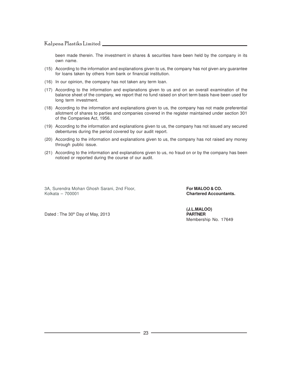been made therein. The investment in shares & securities have been held by the company in its own name.

- (15) According to the information and explanations given to us, the company has not given any guarantee for loans taken by others from bank or financial institution.
- (16) In our opinion, the company has not taken any term loan.
- (17) According to the information and explanations given to us and on an overall examination of the balance sheet of the company, we report that no fund raised on short term basis have been used for long term investment.
- (18) According to the information and explanations given to us, the company has not made preferential allotment of shares to parties and companies covered in the register maintained under section 301 of the Companies Act, 1956.
- (19) According to the information and explanations given to us, the company has not issued any secured debentures during the period covered by our audit report.
- (20) According to the information and explanations given to us, the company has not raised any money through public issue.
- (21) According to the information and explanations given to us, no fraud on or by the company has been noticed or reported during the course of our audit.

3A, Surendra Mohan Ghosh Sarani, 2nd Floor, **For MALOO & CO.**<br>Kolkata – 700001

**Chartered Accountants.** 

Dated : The 30<sup>th</sup> Day of May, 2013 **PARTNER** 

**(J.L.MALOO)** Membership No. 17649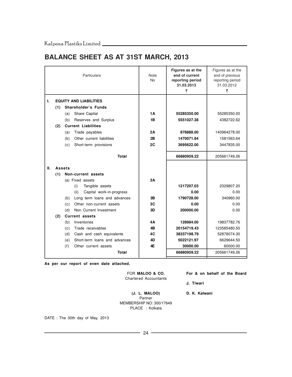### **BALANCE SHEET AS AT 31ST MARCH, 2013**

|     |               | Particulars                                                              | Note<br><b>No</b> | Figures as at the<br>end of current<br>reporting period<br>31.03.2013<br>₹ | Figures as at the<br>end of previous<br>reporting period<br>31.03.2012<br>₹ |
|-----|---------------|--------------------------------------------------------------------------|-------------------|----------------------------------------------------------------------------|-----------------------------------------------------------------------------|
| ı.  |               | <b>EQUITY AND LIABILITIES</b>                                            |                   |                                                                            |                                                                             |
|     | (1)           | <b>Shareholder's Funds</b>                                               |                   |                                                                            |                                                                             |
|     |               | Share Capital<br>(a)                                                     | 1А                | 55285350.00                                                                | 55285350.00                                                                 |
|     |               | Reserves and Surplus<br>(b)                                              | 1B                | 5551027.38                                                                 | 4382722.62                                                                  |
|     | (2)           | <b>Current Liabilities</b>                                               |                   |                                                                            |                                                                             |
|     |               | (a)<br>Trade payables                                                    | 2Α                | 878888.00                                                                  | 140964278.00                                                                |
|     |               | Other current liabilities<br>(b)                                         | 2B                | 1470071.84                                                                 | 1581563.64                                                                  |
|     |               | Short-term provisions<br>(c)                                             | 2C                | 3695622.00                                                                 | 3447835.00                                                                  |
|     |               | Total                                                                    |                   | 66880959.22                                                                | 205661749.26                                                                |
| II. | <b>Assets</b> |                                                                          |                   |                                                                            |                                                                             |
|     | (1)           | Non-current assets                                                       |                   |                                                                            |                                                                             |
|     |               | (a) Fixed assets                                                         | 3А                |                                                                            |                                                                             |
|     |               | Tangible assets<br>(i)                                                   |                   | 1217207.03                                                                 | 2329807.20                                                                  |
|     |               | (ii)<br>Capital work-in-progress                                         |                   | 0.00                                                                       | 0.00                                                                        |
|     |               | Long term loans and advances<br>(b)                                      | 3В                | 1790728.00                                                                 | 340960.00                                                                   |
|     |               | Other non-current assets<br>(c)                                          | 3C                | 0.00                                                                       | 0.00                                                                        |
|     |               | (d)<br>Non Current Investment                                            | 3D                | 200000.00                                                                  | 0.00                                                                        |
|     | (2)           | <b>Current assets</b>                                                    |                   |                                                                            |                                                                             |
|     |               | (b)<br>Inventories                                                       | 4Α                | 128984.00                                                                  | 19837782.76                                                                 |
|     |               | (c)<br>Trade receivables                                                 | 4B                | 20154719.43                                                                | 123585480.50                                                                |
|     |               | Cash and cash equivalents<br>(d)<br>Short-term loans and advances<br>(e) | 4C<br>4D          | 38337198.79<br>5022121.97                                                  | 52878074.30<br>6629644.50                                                   |
|     |               | (f)<br>Other current assets                                              | 4E                | 30000.00                                                                   | 60000.00                                                                    |
|     |               | Total                                                                    |                   | 66880959.22                                                                | 205661749.26                                                                |
|     |               |                                                                          |                   |                                                                            |                                                                             |

**As per our report of even date attached.**

Chartered Accountants

FOR **MALOO & CO. For & on behalf of the Board**

**J. Tiwari**

**(J. L. MALOO) D. K. Kalwani** Partner MEMBERSHIP NO: 300/17649 PLACE : Kolkata

DATE : The 30th day of May, 2013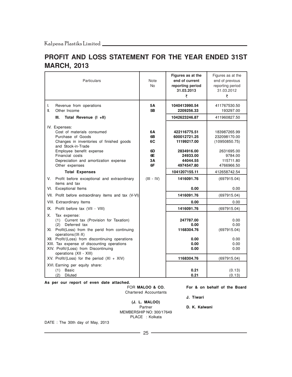### **PROFIT AND LOSS STATEMENT FOR THE YEAR ENDED 31ST MARCH, 2013**

| Particulars                                                                                                                                                                                                                                                                                                                                                                           | Note<br>No.                            | Figures as at the<br>end of current<br>reporting period<br>31.03.2013<br>₹                      | Figures as at the<br>end of previous<br>reporting period<br>31.03.2012<br>₹                       |
|---------------------------------------------------------------------------------------------------------------------------------------------------------------------------------------------------------------------------------------------------------------------------------------------------------------------------------------------------------------------------------------|----------------------------------------|-------------------------------------------------------------------------------------------------|---------------------------------------------------------------------------------------------------|
| I.<br>Revenue from operations<br>II.<br>Other Income                                                                                                                                                                                                                                                                                                                                  | 5Α<br>5Β                               | 1040413990.54<br>2209256.33                                                                     | 411767530.50<br>193297.00                                                                         |
| Total Revenue (I +II)<br>III.                                                                                                                                                                                                                                                                                                                                                         |                                        | 1042623246.87                                                                                   | 411960827.50                                                                                      |
| IV. Expenses:<br>Cost of materials consumed<br>Purchase of Goods<br>Changes in inventories of finished goods<br>and Stock-in-Trade<br>Employee benefit expense<br>Financial costs<br>Depreciation and amortization expense<br>Other expenses                                                                                                                                          | 6А<br>6B<br>6C<br>6D<br>6E<br>3A<br>6F | 422116775.51<br>600012721.25<br>11199217.00<br>2834916.00<br>24933.00<br>44044.55<br>4974547.80 | 183987265.99<br>232098170.00<br>(10950850.75)<br>2631695.00<br>9784.00<br>115711.80<br>4766966.50 |
| <b>Total Expenses</b>                                                                                                                                                                                                                                                                                                                                                                 |                                        | 1041207155.11                                                                                   | 412658742.54                                                                                      |
| V.<br>Profit before exceptional and extraordinary<br>items and tax<br>VI. Exceptional Items                                                                                                                                                                                                                                                                                           | $(III - IV)$                           | 1416091.76<br>0.00                                                                              | (697915.04)<br>0.00                                                                               |
| VII. Profit before extraordinary items and tax (V-VI)                                                                                                                                                                                                                                                                                                                                 |                                        | 1416091.76                                                                                      | (697915.04)                                                                                       |
| VIII. Extraordinary Items                                                                                                                                                                                                                                                                                                                                                             |                                        | 0.00                                                                                            | 0.00                                                                                              |
| Profit before tax (VII - VIII)<br>IX.                                                                                                                                                                                                                                                                                                                                                 |                                        | 1416091.76                                                                                      | (697915.04)                                                                                       |
| Х.<br>Tax expense:<br>(1) Current tax (Provision for Taxation)<br>Deferred tax<br>(2)<br>XI. Profit(Loss) from the perid from continuing<br>operations (IX-X)<br>XII. Profit/(Loss) from discontinuing operations<br>XIII. Tax expense of discounting operations<br>XIV. Profit/(Loss) from Discontinuing<br>operations (XII - XIII)<br>XV. Profit/(Loss) for the period $(XI + XIV)$ |                                        | 247787.00<br>0.00<br>1168304.76<br>0.00<br>0.00<br>0.00<br>1168304.76                           | 0.00<br>0.00<br>(697915.04)<br>0.00<br>0.00<br>0.00<br>(697915.04)                                |
| XVI. Earning per equity share:<br><b>Basic</b><br>(1)<br>(2)<br>Diluted                                                                                                                                                                                                                                                                                                               |                                        | 0.21<br>0.21                                                                                    | (0.13)<br>(0.13)                                                                                  |

**As per our report of even date attached.**

Chartered Accountants

FOR **MALOO & CO. For & on behalf of the Board**

**J. Tiwari**

D. K. Kalwani

**(J. L. MALOO)** MEMBERSHIP NO: 300/17649 PLACE : Kolkata

DATE : The 30th day of May, 2013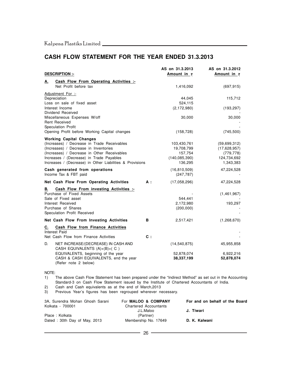### **CASH FLOW STATEMENT FOR THE YEAR ENDED 31.3.2013**

|                                                                            |            | AS on 31.3.2013    | AS on 31.3.2012     |
|----------------------------------------------------------------------------|------------|--------------------|---------------------|
| <b>DESCRIPTION:-</b>                                                       |            | <b>Amount in ₹</b> | Amount in $\bar{z}$ |
| Cash Flow From Operating Activities :-<br>А.                               |            |                    |                     |
| Net Profit before tax                                                      |            | 1,416,092          | (697, 915)          |
| Adjustment For :-                                                          |            |                    |                     |
| Depreciation                                                               |            | 44,045             | 115,712             |
| Loss on sale of fixed asset                                                |            | 524,115            |                     |
| Interest Income                                                            |            | (2, 172, 980)      | (193, 297)          |
| Dividend Received                                                          |            |                    |                     |
| Miscellaneous Expenses W/off<br><b>Rent Received</b>                       |            | 30,000             | 30,000              |
| Speculation Profit                                                         |            |                    |                     |
| Opening Profit before Working Capital changes                              |            | (158, 728)         | (745, 500)          |
| <b>Working Capital Changes</b>                                             |            |                    |                     |
| (Increases) / Decrease in Trade Receivables                                |            | 103,430,761        | (59,699,312)        |
| (Increases) / Decrease in Inventories                                      |            | 19,708,799         | (17,628,957)        |
| (Increases) / Decrease in Other Receivables                                |            | 157,754            | (779, 778)          |
| Increases / (Decrease) in Trade Payables                                   |            | (140, 085, 390)    | 124,734,692         |
| Increases / (Decrease) in Other Liabilities & Provisions                   |            | 136,295            | 1,343,383           |
| Cash generated from operations                                             |            | (16, 810, 509)     | 47,224,528          |
| Income Tax & FBT paid                                                      |            | (247, 787)         |                     |
| Net Cash Flow From Operating Activities                                    | <b>A</b> : | (17,058,296)       | 47,224,528          |
| Cash Flow From investing Activities :-<br>В.                               |            |                    |                     |
| Purchase of Fixed Assets                                                   |            |                    | (1,461,967)         |
| Sale of Fixed asset                                                        |            | 544,441            |                     |
| Interest Received                                                          |            | 2,172,980          | 193,297             |
| Purchase of Shares                                                         |            | (200,000)          |                     |
| Speculation Profit Received                                                |            |                    |                     |
| Net Cash Flow From Investing Activities                                    | В          | 2,517,421          | (1,268,670)         |
| Cash Flow from Finance Activities<br>C.                                    |            |                    |                     |
| <b>Interest Paid</b>                                                       |            |                    |                     |
| Net Cash Flow from Finance Activities                                      | c:         |                    |                     |
| D.<br>NET INCREASE/(DECREASE) IN CASH AND<br>CASH EQUIVALENTS (A)+(B)+( C) |            | (14, 540, 875)     | 45,955,858          |
| EQUIVALENTS, beginning of the year                                         |            | 52,878,074         | 6,922,216           |
| CASH & CASH EQUIVALENTS, end the year                                      |            | 38,337,199         | 52,878,074          |
| (Refer note 2 below)                                                       |            |                    |                     |

NOTE:

1) The above Cash Flow Statement has been prepared under the "Indirect Method" as set out in the Accounting Standard-3 on Cash Flow Statement issued by the Institute of Chartered Accountants of India.

2) Cash and Cash equivalents as at the end of March,2013

3) Previous Year's figures has been regrouped wherever necessary.

| 3A, Surendra Mohan Ghosh Sarani | For <b>MALOO &amp; COMPANY</b> | For and on behalf of the Board |
|---------------------------------|--------------------------------|--------------------------------|
| Kolkata - 700001                | <b>Chartered Accountants</b>   |                                |
|                                 | J.L.Maloo                      | J. Tiwari                      |
| Place: Kolkata                  | (Partner)                      |                                |
| Dated: 30th Day of May, 2013    | Membership No. 17649           | D. K. Kalwani                  |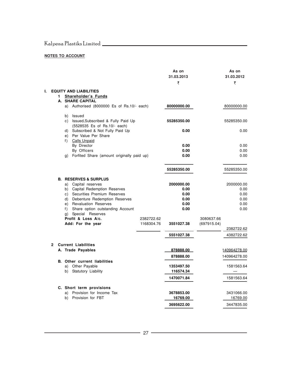### **NOTES TO ACCOUNT**

|    |              |                                                                  |            | As on<br>31.03.2013<br>₹ |             | As on<br>31.03.2012<br>₹ |
|----|--------------|------------------------------------------------------------------|------------|--------------------------|-------------|--------------------------|
| Ι. |              | <b>EQUITY AND LIABILITIES</b>                                    |            |                          |             |                          |
|    | 1            | Shareholder's Funds                                              |            |                          |             |                          |
|    |              | A. SHARE CAPITAL                                                 |            |                          |             |                          |
|    |              | a) Authorised (8000000 Es of Rs.10/- each)                       |            | 80000000.00              |             | 80000000.00              |
|    |              | b) Issued                                                        |            |                          |             |                          |
|    |              | c) Issued, Subscribed & Fully Paid Up                            |            | 55285350.00              |             | 55285350.00              |
|    |              | (5528535 Es of Rs.10/- each)                                     |            |                          |             |                          |
|    |              | d) Subscribed & Not Fully Paid Up<br>e) Per Value Per Share      |            | 0.00                     |             | 0.00                     |
|    |              | f) Calls Unpaid                                                  |            |                          |             |                          |
|    |              | By Director                                                      |            | 0.00                     |             | 0.00                     |
|    |              | By Officers                                                      |            | 0.00                     |             | 0.00                     |
|    |              | g) Forfited Share (amount originally paid up)                    |            | 0.00                     |             | 0.00                     |
|    |              |                                                                  |            | 55285350.00              |             | 55285350.00              |
|    |              | <b>B. RESERVES &amp; SURPLUS</b>                                 |            |                          |             |                          |
|    |              | a) Capital reserves                                              |            | 2000000.00               |             | 2000000.00               |
|    |              | b) Capital Redemption Reserves<br>c) Securities Premium Reserves |            | 0.00<br>0.00             |             | 0.00<br>0.00             |
|    |              | d) Debenture Redemption Reserves                                 |            | 0.00                     |             | 0.00                     |
|    |              | e) Revaluation Reserves                                          |            | 0.00                     |             | 0.00                     |
|    |              | f) Share option outstanding Account                              |            | 0.00                     |             | 0.00                     |
|    |              | g) Special Reserves                                              |            |                          |             |                          |
|    |              | Profit & Loss A/c.                                               | 2382722.62 |                          | 3080637.66  |                          |
|    |              | Add: For the year                                                | 1168304.76 | 3551027.38               | (697915.04) | 2382722.62               |
|    |              |                                                                  |            | 5551027.38               |             | 4382722.62               |
|    |              |                                                                  |            |                          |             |                          |
|    | $\mathbf{2}$ | <b>Current Liabilities</b>                                       |            |                          |             |                          |
|    |              | A. Trade Payables                                                |            | 878888.00                |             | 140964278.00             |
|    |              |                                                                  |            | 878888.00                |             | 140964278.00             |
|    |              | <b>B.</b> Other current liabilities<br>a) Other Payable          |            | 1353497.50               |             | 1581563.64               |
|    |              | b) Statutory Liability                                           |            | 116574.34                |             |                          |
|    |              |                                                                  |            | 1470071.84               |             | 1581563.64               |
|    |              | C. Short term provisions                                         |            |                          |             |                          |
|    |              | a) Provision for Income Tax                                      |            | 3678853.00               |             | 3431066.00               |
|    |              | b) Provision for FBT                                             |            | 16769.00                 |             | 16769.00                 |
|    |              |                                                                  |            | 3695622.00               |             | 3447835.00               |
|    |              |                                                                  |            |                          |             |                          |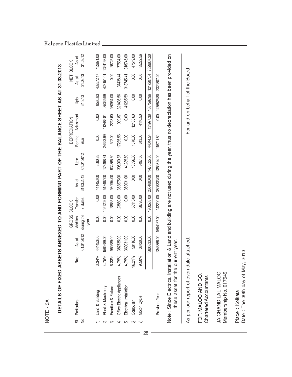|                                          | NOTE - 3A                                                                                                                                                             |                                    |                         |                                         |                                     |                        |                        |                    |                                   |                       |                                  |                                   |
|------------------------------------------|-----------------------------------------------------------------------------------------------------------------------------------------------------------------------|------------------------------------|-------------------------|-----------------------------------------|-------------------------------------|------------------------|------------------------|--------------------|-----------------------------------|-----------------------|----------------------------------|-----------------------------------|
|                                          | DETAILS OF FIXED ASSETS ANNEXED TO AND FORMING PART OF THE BALANCE SHEET AS AT 31.03.2013                                                                             |                                    |                         |                                         |                                     |                        |                        |                    |                                   |                       |                                  |                                   |
| $\frac{1}{2}$<br>$\overline{\mathbf{5}}$ | Particulars                                                                                                                                                           | Rate                               | 01.04.2012<br>As at     | GROSS<br>during the<br>Addition<br>year | / Sales<br>Transfer<br><b>BLOCK</b> | 31.03.2013<br>As at    | 01.04.2012<br>Upto     | For the<br>Year    | Adjustment<br><b>DEPRECIATION</b> | 31.3.13<br>Upto       | -<br>1<br>2<br>31.03.13<br>As at | 31.03.12<br>As at<br><b>BLOCK</b> |
|                                          | Land & Building                                                                                                                                                       | 34%                                | 441453.00               | 0.00                                    | 0.00                                | 441453.00              | 8580.83                | 0.00               | 0.00                              | 8580.83               | 432572.17                        | 432871.00                         |
| ন<br>ᢛ                                   | Furniture & Fixture<br>Plant & Machinery                                                                                                                              | $.75\%$<br>$.33\%$<br>4<br>$\circ$ | 1564689.00<br>959589.00 | 0.00<br>0.00                            | 28635.00<br>1051202.00              | 930954.00<br>513487.00 | 932865.60<br>173498.81 | 24323.99<br>302.00 | 2213.60<br>112486.81              | 85335.99<br>930954.00 | 0.00<br>428151.01                | 1391198.00<br>26725.00            |
| $\widehat{+}$                            | Office Electric Appliances                                                                                                                                            | .75%<br>4                          | 382735.00               | 0.00                                    | 23860.00                            | 358875.00              | 305200.87              | 17235.56           | 999.87                            | 321436.56             | 37438.44                         | 77534.00                          |
| 5                                        | Electrical Installation                                                                                                                                               | $.75\%$                            | 360031.00               | 0.00                                    | 0.00                                | 360031.00              | 41285.59               | 0.00               | 0.00                              | 41285.59              | 318745.41                        | 318745.00                         |
| 6                                        | Computer                                                                                                                                                              | 21%<br>$\frac{6}{5}$               | 58116.00                | 0.00                                    | 58116.00                            | 0.00                   | 10596.60               | 1570.00            | 12166.60                          | 0.00                  | 0.00                             | 47519.00                          |
| $\widehat{\pi}$                          | Motor Cycle                                                                                                                                                           | 50%<br>σ                           | 38720.00                | 0.00                                    | 38720.00                            | 0.00                   | 3497.50                | 613.00             | 4110.50                           | 0.00                  | 0.00                             | 35222.56                          |
|                                          |                                                                                                                                                                       |                                    | 3805333.00              | 0.00                                    | 1200533.00                          | 2604800.00 1475525.80  |                        | 44044.54           | 131977.38                         | 1387592.96            | 1217207.04 2329807.20            |                                   |
|                                          | Previous Year                                                                                                                                                         |                                    | 2343366.00              | 1604167.00                              | 142200.00                           | 3805333.00             | 1359814.00             | 115711.80          | 0.00                              | 1475525.80            | 2329807.20                       |                                   |
|                                          | Note : Since Electrical Installation & Land and building are not used during the year, thus no depreciation has been provided on<br>these asset for the current year. |                                    |                         |                                         |                                     |                        |                        |                    |                                   |                       |                                  |                                   |
|                                          | As per our report of even d                                                                                                                                           |                                    | ate attached            |                                         |                                     |                        |                        |                    |                                   |                       | For and on behalf of the Board   |                                   |
|                                          | FOR MALOO AND CO.<br>Chartered Accountants                                                                                                                            |                                    |                         |                                         |                                     |                        |                        |                    |                                   |                       |                                  |                                   |
|                                          | Membership No. 017649<br>JAICHAND LAL MALOO                                                                                                                           |                                    |                         |                                         |                                     |                        |                        |                    |                                   |                       |                                  |                                   |
|                                          | Date: The 30th day of May, 2013<br>Place: Kolkata                                                                                                                     |                                    |                         |                                         |                                     |                        |                        |                    |                                   |                       |                                  |                                   |

Kalpena Plastiks Limited

 $\overline{\phantom{a}}$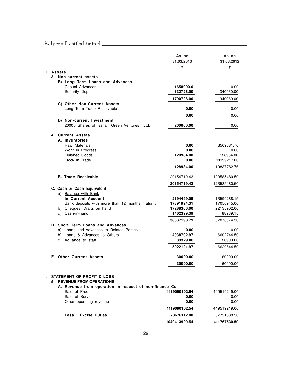| Kalpena Plastiks Limited |  |  |  |  |
|--------------------------|--|--|--|--|
|--------------------------|--|--|--|--|

|    |    |                                                                                                                                    | As on<br>31.03.2013<br>₹ | As on<br>31.03.2012<br>₹ |
|----|----|------------------------------------------------------------------------------------------------------------------------------------|--------------------------|--------------------------|
|    |    | II. Assets                                                                                                                         |                          |                          |
|    | 3  | Non-current assets                                                                                                                 |                          |                          |
|    |    | B) Long Term Loans and Advances                                                                                                    |                          |                          |
|    |    | Capital Advances                                                                                                                   | 1658000.0                | 0.00                     |
|    |    | Security Deposits                                                                                                                  | 132728.00                | 340960.00                |
|    |    |                                                                                                                                    | 1790728.00               | 340960.00                |
|    |    | C) Other Non-Current Assets                                                                                                        |                          |                          |
|    |    | Long Term Trade Receivable                                                                                                         | 0.00                     | 0.00                     |
|    |    |                                                                                                                                    | 0.00                     | 0.00                     |
|    |    | D) Non-current Investment                                                                                                          |                          |                          |
|    |    | 20000 Shares of Isana Green Ventures<br>Ltd.                                                                                       | 200000.00                | 0.00                     |
|    |    |                                                                                                                                    |                          |                          |
|    | 4  | <b>Current Assets</b><br>A. Inventories                                                                                            |                          |                          |
|    |    | Raw Materials                                                                                                                      | 0.00                     | 8509581.76               |
|    |    | Work in Progress                                                                                                                   | 0.00                     | 0.00                     |
|    |    | <b>Finished Goods</b>                                                                                                              | 128984.00                | 128984.00                |
|    |    | Stock in Trade                                                                                                                     | 0.00                     | 11199217.00              |
|    |    |                                                                                                                                    | 128984.00                | 19837782.76              |
|    |    |                                                                                                                                    |                          |                          |
|    |    | <b>B. Trade Receivable</b>                                                                                                         | 20154719.43              | 123585480.50             |
|    |    |                                                                                                                                    | 20154719.43              | 123585480.50             |
|    |    | C. Cash & Cash Equivalent                                                                                                          |                          |                          |
|    |    | a) Balance with Bank                                                                                                               |                          |                          |
|    |    | In Current Account                                                                                                                 | 2194499.09               | 13599288.15              |
|    |    | Bank deposits with more than 12 months maturity                                                                                    | 17391994.31              | 17050945.00              |
|    |    | b) Cheques, Drafts on hand                                                                                                         | 17288306.00              | 22138902.00              |
|    |    | c) Cash-in-hand                                                                                                                    | 1462399.39               | 88939.15                 |
|    |    |                                                                                                                                    | 38337198.79              | 52878074.30              |
|    |    | D. Short Term Loans and Advances                                                                                                   |                          |                          |
|    |    | a) Loans and Advances to Related Parties                                                                                           | 0.00                     | 0.00                     |
|    |    | b) Loans & Advances to Others                                                                                                      | 4938792.97               | 6602744.50               |
|    |    | c) Advance to staff                                                                                                                | 83329.00                 | 26900.00                 |
|    |    |                                                                                                                                    | 5022121.97               | 6629644.50               |
|    |    | <b>E. Other Current Assets</b>                                                                                                     | 30000.00                 | 60000.00                 |
|    |    |                                                                                                                                    |                          |                          |
|    |    |                                                                                                                                    | 30000.00                 | 60000.00                 |
| L. | 5. | <b>STATEMENT OF PROFIT &amp; LOSS</b><br><b>REVENUE FROM OPERATIONS</b><br>A. Revenue from operation in respect of non-finance Co. |                          |                          |
|    |    | Sale of Products                                                                                                                   | 1119090102.54            | 449519219.00             |
|    |    | Sale of Services                                                                                                                   | 0.00                     | 0.00                     |
|    |    | Other operating revenue                                                                                                            | 0.00                     | 0.00                     |
|    |    |                                                                                                                                    | 1119090102.54            | 449519219.00             |
|    |    | Less : Excise Duties                                                                                                               | 78676112.00              | 37751688.50              |

**1040413990.54 411767530.50**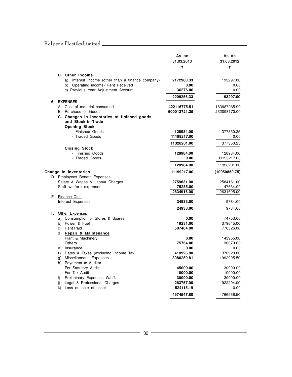|   |                                                                | As on                        | As on                        |
|---|----------------------------------------------------------------|------------------------------|------------------------------|
|   |                                                                | 31.03.2013                   | 31.03.2012                   |
|   |                                                                | ₹                            | ₹                            |
|   | <b>B.</b> Other Income                                         |                              |                              |
|   | a) Interest Income (other than a finance company)              | 2172980.33                   | 193297.00                    |
|   | b) Operating income- Rent Received                             | 0.00                         | 0.00                         |
|   | c) Previous Year Adjustment Account                            | 36276.00                     | 0.00                         |
|   |                                                                | 2209256.33                   | 193297.00                    |
| 6 | <b>EXPENSES</b>                                                |                              |                              |
|   | A. Cost of material consumed<br>B. Purchase of Goods           | 422116775.51<br>600012721.25 | 183987265.99<br>232098170.00 |
|   | C. Changes in inventories of finished goods                    |                              |                              |
|   | and Stock-in-Trade                                             |                              |                              |
|   | <b>Opening Stock</b>                                           |                              |                              |
|   | - Finished Goods                                               | 128984.00                    | 377350.25                    |
|   | - Traded Goods                                                 | 11199217.00                  | 0.00                         |
|   |                                                                | 11328201.00                  | 377350.25                    |
|   | <b>Closing Stock</b>                                           |                              |                              |
|   | - Finished Goods                                               | 128984.00                    | 128984.00                    |
|   | - Traded Goods                                                 | 0.00                         | 11199217.00                  |
|   |                                                                | 128984.00                    | 11328201.00                  |
|   | Change in Inventories                                          | 11199217.00                  | (10950850.75)                |
|   | D. Employees Benefit Expenses                                  |                              |                              |
|   | Salary & Wages & Labour Charges                                | 2759631.00                   | 2584161.00                   |
|   | Staff welfare expenses                                         | 75285.00                     | 47534.00                     |
|   |                                                                | 2834916.00                   | 2631695.00                   |
|   | E. Finance Cost<br>Interest Expenses                           | 24933.00                     | 9784.00                      |
|   |                                                                |                              |                              |
|   |                                                                | 24933.00                     | 9784.00                      |
|   | F. Other Expenses<br>a) Consumption of Stores & Spares         | 0.00                         | 74753.00                     |
|   | b) Power & Fuel                                                | 19231.00                     | 379645.00                    |
|   | c) Rent Paid                                                   | 507464.00                    | 776326.00                    |
|   | d) Repair & Maintenance                                        |                              |                              |
|   | Plant & Machinery                                              | 0.00                         | 143955.00                    |
|   | Others                                                         | 75764.00                     | 36070.00                     |
|   | e) Insurance                                                   | 0.00                         | 0.00                         |
|   | f) Rates & Taxes (excluding Income Tax)                        | 418926.80                    | 370928.00                    |
|   | g) Miscellaneous Expenses                                      | 3080289.81                   | 1992995.50                   |
|   | h) Payament to Auditor                                         |                              |                              |
|   | For Statutory Audit                                            | 45000.00                     | 30000.00                     |
|   | For Tax Audit                                                  | 10000.00                     | 10000.00                     |
|   | i) Preliminary Expenses W/off.                                 | 30000.00                     | 30000.00                     |
|   | Legal & Professional Charges<br>i)<br>k) Loss on sale of asset | 263757.00<br>524115.19       | 922294.00<br>0.00            |
|   |                                                                | 4974547.80                   | 4766966.50                   |
|   |                                                                |                              |                              |

<u> 1989 - Johann Barn, mars and de Branch Barn, mars and de Branch Barn, mars and de Branch Barn, mars and de Br</u>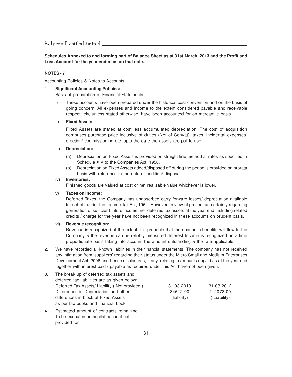**Schedules Annexed to and forming part of Balance Sheet as at 31st March, 2013 and the Profit and Loss Account for the year ended as on that date.**

#### **NOTES - 7**

Accounting Policies & Notes to Accounts

#### 1. **Significant Accounting Policies:**

Basis of preparation of Financial Statements:

i) These accounts have been prepared under the historical cost convention and on the basis of going concern. All expenses and income to the extent considered payable and receivable respectively, unless stated otherwise, have been accounted for on mercantile basis.

#### **ii) Fixed Assets:**

Fixed Assets are stated at cost less accumulated depreciation. The cost of acquisition comprises purchase price inclusive of duties (Net of Cenvat), taxes, incidental expenses, erection/ commissioning etc. upto the date the assets are put to use.

#### **iii) Depreciation:**

- (a) Depreciation on Fixed Assets is provided on straight line method at rates as specified in Schedule XIV to the Companies Act, 1956.
- (b) Depreciation on Fixed Assets added/disposed off during the period is provided on prorata basis with reference to the date of addition/ disposal.

#### **iv) Inventories:**

Finished goods are valued at cost or net realizable value whichever is lower.

#### **v) Taxes on Income:**

Deferred Taxes: the Company has unabsorbed carry forward losses/ depreciation available for set-off under the Income Tax Act, 1961. However, in view of present un-certainty regarding generation of sufficient future income, net deferred tax assets at the year end including related credits / charge for the year have not been recognized in these accounts on prudent basis.

#### **vi) Revenue recognition:**

Revenue is recognized of the extent it is probable that the economic benefits will flow to the Company & the revenue can be reliably measured. Interest Income is recognized on a time proportionate basis taking into account the amount outstanding & the rate applicable.

2. We have recorded all known liabilities in the financial statements. The company has not received any intimation from 'suppliers' regarding their status under the Micro Small and Medium Enterprises Development Act, 2006 and hence disclosures, if any, relating to amounts unpaid as at the year end together with interest paid / payable as required under this Act have not been given.

| 3. | The break up of deferred tax assets and<br>deferred tax liabilities are as given below:          |             |             |
|----|--------------------------------------------------------------------------------------------------|-------------|-------------|
|    | Deferred Tax Assets/ Liability (Not provided)                                                    | 31.03.2013  | 31.03.2012  |
|    | Differences in Depreciation and other                                                            | 84612.00    | 112073.00   |
|    | differences in block of Fixed Assets<br>as per tax books and financial book                      | (liability) | (Liability) |
| 4. | Estimated amount of contracts remaining<br>To be executed on capital account not<br>provided for |             |             |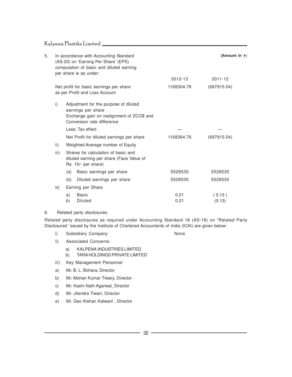| 5. |      | In accordance with Accounting Standard<br>(AS-20) on 'Earning Per Share' (EPS)                                                        |              | (Amount in $\overline{\tau}$ ) |
|----|------|---------------------------------------------------------------------------------------------------------------------------------------|--------------|--------------------------------|
|    |      | computation of basic and diluted earning<br>per share is as under:                                                                    | 2012-13      | $2011 - 12$                    |
|    |      | Net profit for basic earnings per share<br>as per Profit and Loss Account                                                             | 1168304.76   | (697915.04)                    |
|    | i)   | Adjustment for the purpose of diluted<br>earnings per share<br>Exchange gain on realignment of ZCCB and<br>Conversion rate difference |              |                                |
|    |      | Less: Tax effect                                                                                                                      |              |                                |
|    |      | Net Profit for diluted earnings per share                                                                                             | 1168364.76   | (697915.04)                    |
|    | ii)  | Weighted Average number of Equity                                                                                                     |              |                                |
|    | iii) | Shares for calculation of basic and<br>diluted earning per share (Face Value of<br>Rs. 10/- per share)                                |              |                                |
|    |      | Basic earnings per share<br>(a)                                                                                                       | 5528535      | 5528535                        |
|    |      | (b)<br>Diluted earnings per share                                                                                                     | 5528535      | 5528535                        |
|    | iv)  | Earning per Share                                                                                                                     |              |                                |
|    |      | <b>Basic</b><br>a)<br><b>Diluted</b><br>b)                                                                                            | 0.21<br>0.21 | (0.13)<br>(0.13)               |
|    |      |                                                                                                                                       |              |                                |

#### 6. Related party disclosures:

Related party disclosures as required under Accounting Standard 18 (AS-18) on "Related Party Disclosures" issued by the Institute of Chartered Accountants of India (ICAI) are given below:

i) Subsidiary Company **None** None

- ii) Associated Concerns:
	- a) KALPENA INDUSTRIES LIMITED.
	- b) TARA HOLDINGS PRIVATE LIMITED
- iii) Key Management Personnel
- a) Mr. B. L. Bohara, Director
- b) Mr. Mohan Kumar Tiwary, Director
- c) Mr. Kashi Nath Agarwal, Director
- d) Mr. Jitendra Tiwari, Director
- e) Mr. Deo Kishan Kalwani , Director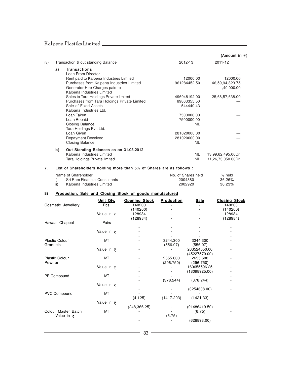## Kalpena Plastiks Limited **Report of the Community of the Community Community**

|     |    |                                              |              | (Amount in $\overline{\tau}$ ) |
|-----|----|----------------------------------------------|--------------|--------------------------------|
| iv) |    | Transaction & out standing Balance           | 2012-13      | 2011-12                        |
|     | a) | <b>Transactions</b>                          |              |                                |
|     |    | Loan From Director                           |              |                                |
|     |    | Rent paid to Kalpena Industries Limited      | 12000.00     | 12000.00                       |
|     |    | Purchases from Kalpena Industries Limited    | 961284452.50 | 46,59,94,823.75                |
|     |    | Generator Hire Charges paid to               |              | 1,40,000.00                    |
|     |    | Kalpena Industries Limited                   |              |                                |
|     |    | Sales to Tara Holdings Private limited       | 496948192.00 | 25,68,57,638.00                |
|     |    | Purchases from Tara Holdings Private Limited | 69863355.50  |                                |
|     |    | Sale of Fixed Assets                         | 544440.43    |                                |
|     |    | Kalpana Industries Ltd.                      |              |                                |
|     |    | Loan Taken                                   | 7500000.00   |                                |
|     |    | Loan Repaid                                  | 7500000.00   |                                |
|     |    | <b>Closing Balance</b>                       | <b>NIL</b>   |                                |
|     |    | Tara Holdings Pvt. Ltd.                      |              |                                |
|     |    | Loan Given                                   | 281020000.00 |                                |
|     |    | <b>Repayment Received</b>                    | 281020000.00 |                                |
|     |    | <b>Closing Balance</b>                       | <b>NIL</b>   |                                |
|     | b) | Out Standing Balances as on 31.03.2012       |              |                                |
|     |    | Kalpena Industries Limited                   | <b>NIL</b>   | 13,99,62,495.00Cr.             |
|     |    | Tara Holdings Private limited                | <b>NIL</b>   | 11,26,73,050.00Dr.             |
|     |    |                                              |              |                                |

#### **7. List of Shareholders holding more than 5% of Shares are as follows :**

| Name of Shareholder           | No. of Shares held | % held |
|-------------------------------|--------------------|--------|
| Sri Ram Financial Consultants | 2004380            | 36.26% |
| Kalpena Industries Limited    | 2002920            | 36.23% |

#### **8) Production, Sale and Closing Stock of goods manufactured**

|                       | Unit Qty.          | <b>Opening Stock</b> | <b>Production</b> | <b>Sale</b>   | <b>Closing Stock</b> |
|-----------------------|--------------------|----------------------|-------------------|---------------|----------------------|
| Cosmetic Jewellery    | Pcs.               | 140200               |                   |               | 140200               |
|                       |                    | (140200)             |                   |               | (140200)             |
|                       | Value in $\bar{z}$ | 128984               |                   |               | 128984               |
|                       |                    | (128984)             |                   |               | (128984)             |
| Hawaai Chappal        | Pairs              |                      |                   |               |                      |
|                       |                    |                      |                   |               |                      |
|                       | Value in $\bar{z}$ |                      |                   |               |                      |
|                       |                    |                      |                   |               |                      |
| <b>Plastic Colour</b> | МT                 |                      | 3244.300          | 3244.300      |                      |
| Granuels              |                    |                      | (556.07)          | (556.07)      |                      |
|                       | Value in $\bar{z}$ |                      |                   | 263524550.00  |                      |
|                       |                    |                      |                   | (45227570.00) |                      |
| <b>Plastic Colour</b> | МT                 |                      | 2655.600          | 2655.600      |                      |
| Powder                |                    |                      | (296.750)         | (296.750)     |                      |
|                       | Value in $\bar{z}$ |                      |                   | 160655596.25  |                      |
|                       |                    |                      |                   | (18098925.00) |                      |
| PE Compound           | МT                 |                      |                   |               |                      |
|                       |                    |                      | (378.244)         | (378.244)     |                      |
|                       | Value in $\bar{z}$ |                      |                   |               |                      |
|                       |                    |                      |                   | (3254308.00)  |                      |
| <b>PVC Compound</b>   | МT                 |                      |                   |               |                      |
|                       |                    | (4.125)              | (1417.203)        | (1421.33)     |                      |
|                       | Value in $\bar{z}$ |                      |                   |               |                      |
|                       |                    | (248, 366.25)        |                   | (91486419.50) |                      |
| Colour Master Batch   | МТ                 |                      |                   | (6.75)        |                      |
| Value in $\bar{z}$    |                    |                      | (6.75)            |               |                      |
|                       |                    |                      |                   | (628893.00)   |                      |
|                       |                    |                      |                   |               |                      |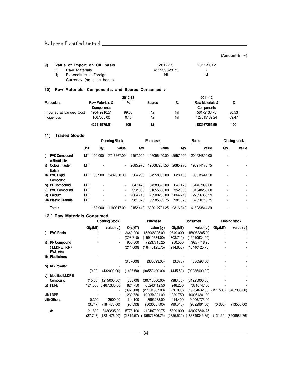#### **(Amount in**  $\bar{\tau}$ **)**

| 9) |     | Value of import on CIF basis | 2012-13      | 2011-2012                |  |
|----|-----|------------------------------|--------------|--------------------------|--|
|    |     | Raw Materials                | 411939628.75 | $\overline{\phantom{a}}$ |  |
|    | ii) | Expenditure in Foreign       | Nil          | Nil                      |  |
|    |     | Currency (on cash basis)     |              |                          |  |

#### **10) Raw Materials, Components, and Spares Consumed :-**

|                         |                            | 2012-13 |               |     | 2011-12                    |       |
|-------------------------|----------------------------|---------|---------------|-----|----------------------------|-------|
| <b>Particulars</b>      | <b>Raw Materials &amp;</b> | %       | <b>Spares</b> | %   | <b>Raw Materials &amp;</b> | %     |
|                         | <b>Components</b>          |         |               |     | <b>Components</b>          |       |
| Imported at Landed Cost | 420449210.51               | 99.60   | Nil           | Nil | 56172133.75                | 30.53 |
| Indigenous              | 1667565.00                 | 0.40    | Nil           | Nil | 127815132.24               | 69.47 |
|                         | 422116775.51               | 100     | Νi            |     | 183987265.99               | 100   |

#### **11) Traded Goods**

| . | <b>Hautu GUUUS</b>                |             |         |                      |          |              |          |              |                          |                      |
|---|-----------------------------------|-------------|---------|----------------------|----------|--------------|----------|--------------|--------------------------|----------------------|
|   |                                   |             |         | <b>Opening Stock</b> |          | Purchase     |          | <b>Sales</b> |                          | <b>Closing stock</b> |
|   |                                   | <b>Unit</b> | Qty.    | value                | Qtv.     | value        | Qtv.     | value        | Qty.                     | value                |
|   | i) PVC Compound<br>without filler | МT          | 100.000 | 7716667.00           | 2457.000 | 196056400.00 | 2557.000 | 204534800.00 |                          |                      |
|   | ii) Colour master<br><b>Batch</b> | МT          |         | $\blacksquare$       | 2085.975 | 196067267.50 | 2085.975 | 196914178.75 |                          |                      |
|   | iii) PVC Rigid<br>Compound        | МT          | 63.900  | 3482550.00           | 564.200  | 34958055.00  | 628.100  | 38612441.50  |                          |                      |
|   | iv) PE Compound                   | MT          |         | ٠                    | 647.475  | 54389525.00  | 647.475  | 54407099.00  |                          |                      |
|   | v) PVC Compound                   | МT          |         | $\blacksquare$       | 352.000  | 31655666.00  | 352,000  | 31848250.00  | $\overline{\phantom{a}}$ |                      |
|   | vi) Calcium                       | MT          |         | ٠                    | 2064.715 | 26900205.00  | 2064.715 | 27896356.29  | $\overline{\phantom{a}}$ |                      |
|   | vii) Plastic Granule              | MT          |         | $\blacksquare$       | 981.075  | 59985602.75  | 981.075  | 62020718.75  |                          |                      |
|   | Total:                            |             | 163.900 | 11199217.00          | 9152.440 | 600012721.25 | 9316.340 | 616233844.29 |                          |                      |

#### **12 ) Raw Materials Consumed**

|    |                       |          | <b>Opening Stock</b>     |            | Purchase          |            | Consumed                             |          | <b>Closing stock</b>      |
|----|-----------------------|----------|--------------------------|------------|-------------------|------------|--------------------------------------|----------|---------------------------|
|    |                       | Qty.(MT) | value $(\bar{\tau})$     | Qty.(MT)   | value $(\bar{z})$ | Qty.(MT)   | value $(\bar{z})$                    | Qty.(MT) | value $(\bar{z})$         |
|    | i) PVC Resin          |          |                          | 2649.000   | 158968305.00      | 2649.000   | 158968305.00                         |          |                           |
|    |                       |          |                          | (303.710)  | (15910634.00)     | (303.710)  | (15910634.00)                        |          |                           |
|    | ii) P.P Compound      |          |                          | 950.500    | 79237718.25       | 950.500    | 79237718.25                          |          |                           |
|    | ( LLDPE / P.P /       |          |                          | (214.600)  | (16440125.75)     | (214.600)  | (16440125.75)                        |          |                           |
|    | EVA, etc)             |          |                          |            |                   |            |                                      |          |                           |
|    | iii) Plasticizers     |          |                          |            |                   |            |                                      |          |                           |
|    |                       |          |                          | (3.67000)  | (330593.00)       | (3.670)    | (330593.00)                          |          |                           |
|    | iv) Ki - Powder       |          |                          |            |                   |            |                                      |          |                           |
|    |                       | (9.00)   | (432000.00)              | (1436.50)  | (90553400.00)     | (1445.50)  | (90985400.00)                        |          |                           |
| V) | <b>Modified LLDPE</b> |          |                          |            |                   |            |                                      |          |                           |
|    | Compound              |          | $(15.00)$ $(1215000.00)$ | (368.00)   | (30710000.00)     | (383.00)   | (31925000.00)                        |          |                           |
|    | vi) HDPE              |          | 121.500 8,467,335.00     | 824.750    | 65243412.50       | 946.250    | 73710747.50                          |          |                           |
|    |                       |          |                          | (397.500)  | (27701967.00)     | (276.000)  | (19234632.00) (121.500) (8467335.00) |          |                           |
|    | vii) LDPE             |          |                          | 1239.750   | 100054301.00      | 1239.750   | 100054301.00                         |          |                           |
|    | viii) Others          | 0.300    | 13500.00                 | 114.100    | 8993273.00        | 114.400    | 9,006,773.00                         |          |                           |
|    |                       | (3.747)  | (184476.00)              | (95.593)   | (8030587.00)      | (99.040)   | (9022961.00)                         | (0.300)  | (13500.00)                |
|    | А.                    | 121.800  | 8480835.00               | 5778.100   | 412497009.75      | 5899.900   | 420977844.75                         |          |                           |
|    |                       |          | (27.747) (1831476.00)    | (2,819.57) | (189677306.75)    | (2725.520) | (183849345.75)                       |          | $(121.50)$ $(8509581.76)$ |
|    |                       |          |                          |            |                   |            |                                      |          |                           |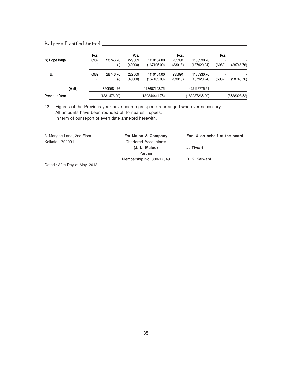|                      | Pcs.          |                       | Pcs.              |                           | Pcs.              |                           | Pcs    |              |
|----------------------|---------------|-----------------------|-------------------|---------------------------|-------------------|---------------------------|--------|--------------|
| ix) Hdpe Bags        | 6982<br>$(-)$ | 28746.76<br>(-)       | 229009<br>(40000) | 1110184.00<br>(167105.00) | 235991<br>(33018) | 1138930.76<br>(137920.24) | (6982) | (28746.76)   |
| <b>B:</b>            | 6982<br>$(-)$ | 28746.76<br>$(\cdot)$ | 229009<br>(40000) | 1110184.00<br>(167105.00) | 235991<br>(33018) | 1138930.76<br>(137920.24) | (6982) | (28746.76)   |
| $(A+B)$ :            |               | 8509581.76            |                   | 413607193.75              |                   | 422116775.51              |        |              |
| <b>Previous Year</b> |               | (1831476.00)          |                   | (189844411.75)            |                   | (183987265.99)            |        | (8538328.52) |

13. Figures of the Previous year have been regrouped / rearranged wherever necessary. All amounts have been rounded off to nearest rupees. In term of our report of even date annexed herewith.

| 3, Mangoe Lane, 2nd Floor                    | For Maloo & Company          | For & on behalf of the board |
|----------------------------------------------|------------------------------|------------------------------|
| Kolkata - 700001                             | <b>Chartered Accountants</b> |                              |
|                                              | (J. L. Maloo)                | J. Tiwari                    |
|                                              | Partner                      |                              |
|                                              | Membership No. 300/17649     | D. K. Kalwani                |
| $D^{total} \cdot 20th$ $D^{odd}$ of May 2012 |                              |                              |

Dated : 30th Day of May, 2013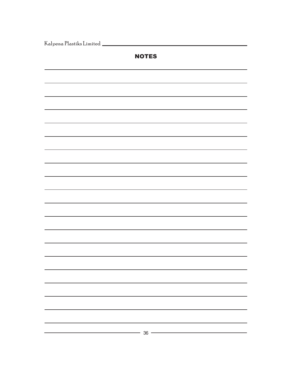|  |  | Kalpena Plastiks Limited |
|--|--|--------------------------|
|--|--|--------------------------|

| <b>NOTES</b>                                         |
|------------------------------------------------------|
|                                                      |
|                                                      |
|                                                      |
|                                                      |
|                                                      |
|                                                      |
|                                                      |
|                                                      |
|                                                      |
|                                                      |
|                                                      |
|                                                      |
|                                                      |
|                                                      |
|                                                      |
|                                                      |
| $\overline{\phantom{a}}$ 36 $\overline{\phantom{a}}$ |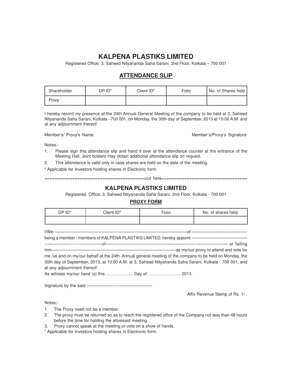### **KALPENA PLASTIKS LIMITED**

Registered Office: 3, Saheed Nityananda Saha Sarani, 2nd Floor, Kolkata – 700 001

### **ATTENDANCE SLIP**

| Shareholder | DP ID <sup>*</sup> | Client ID* | Folio | No. of Shares held |
|-------------|--------------------|------------|-------|--------------------|
| Proxy       |                    |            |       |                    |

I hereby record my presence at the 24th Annual General Meeting of the company to be held at 3, Saheed Nityananda Saha Sarani, Kolkata - 700 001, on Monday, the 30th day of September, 2013 at 10:00 A.M. and at any adjournment thereof.

Member's/ Proxy's Name Member's/Proxy's Signature

Notes:-

- 1. Please sign this attendance slip and hand it over at the attendance counter at the entrance of the Meeting Hall. Joint holders may obtain additional attendance slip on request.
- 2. This attendance is valid only in case shares are held on the date of the meeting.
- \* Applicable for Investors holding shares in Electronic form.

========================================cut here==================================

#### **KALPENA PLASTIKS LIMITED**

Registered Office: 3, Saheed Nityananda Saha Sarani, 2nd Floor, Kolkata - 700 001

#### **PROXY FORM**

| DP ID* | Client ID* | Folio | No. of shares held |
|--------|------------|-------|--------------------|
|        |            |       |                    |

| $I/We$ ——                                                                |                                         |
|--------------------------------------------------------------------------|-----------------------------------------|
| being a member / members of KALPENA PLASTIKS LIMITED hereby appoint ———— |                                         |
|                                                                          | — or failing                            |
| $him-$                                                                   | -as my/our proxy to attend and vote for |

| me /us and on my/our behalf at the 24th Annual general meeting of the company to be held on Monday, the |
|---------------------------------------------------------------------------------------------------------|
| 30th day of September, 2013, at 10:00 A.M. at 3, Saheed Nityananda Saha Sarani, Kolkata - 700 001, and  |
| at any adjournment thereof.                                                                             |

As witness my/our hand (s) this ………………. Day of ………………….. 2013.

Signature by the said -

Affix Revenue Stamp of Rs. 1/-.

Notes:-

- 1. The Proxy need not be a member.
- 2. The proxy must be returned so as to reach the registered office of the Company not less than 48 hours before the time for holding the aforesaid meeting.
- 3. Proxy cannot speak at the meeting or vote on a show of hands.

\* Applicable for Investors holding shares in Electronic form.